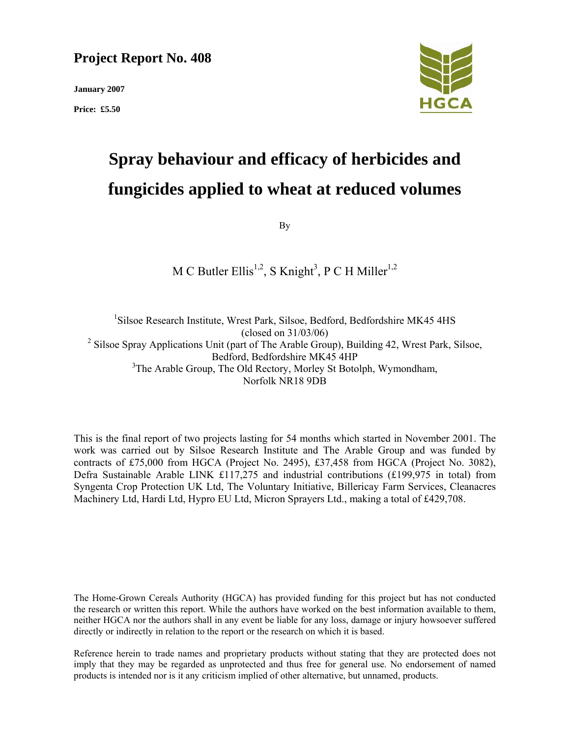# **Project Report No. 408**

**January 2007** 

**Price: £5.50** 



# **Spray behaviour and efficacy of herbicides and fungicides applied to wheat at reduced volumes**

By

# M C Butler Ellis<sup>1,2</sup>, S Knight<sup>3</sup>, P C H Miller<sup>1,2</sup>

<sup>1</sup>Silsoe Research Institute, Wrest Park, Silsoe, Bedford, Bedfordshire MK45 4HS (closed on 31/03/06)  $2$  Silsoe Spray Applications Unit (part of The Arable Group), Building 42, Wrest Park, Silsoe, Bedford, Bedfordshire MK45 4HP <sup>3</sup>The Arable Group, The Old Rectory, Morley St Botolph, Wymondham, Norfolk NR18 9DB

This is the final report of two projects lasting for 54 months which started in November 2001. The work was carried out by Silsoe Research Institute and The Arable Group and was funded by contracts of £75,000 from HGCA (Project No. 2495), £37,458 from HGCA (Project No. 3082), Defra Sustainable Arable LINK £117,275 and industrial contributions (£199,975 in total) from Syngenta Crop Protection UK Ltd, The Voluntary Initiative, Billericay Farm Services, Cleanacres Machinery Ltd, Hardi Ltd, Hypro EU Ltd, Micron Sprayers Ltd., making a total of £429,708.

The Home-Grown Cereals Authority (HGCA) has provided funding for this project but has not conducted the research or written this report. While the authors have worked on the best information available to them, neither HGCA nor the authors shall in any event be liable for any loss, damage or injury howsoever suffered directly or indirectly in relation to the report or the research on which it is based.

Reference herein to trade names and proprietary products without stating that they are protected does not imply that they may be regarded as unprotected and thus free for general use. No endorsement of named products is intended nor is it any criticism implied of other alternative, but unnamed, products.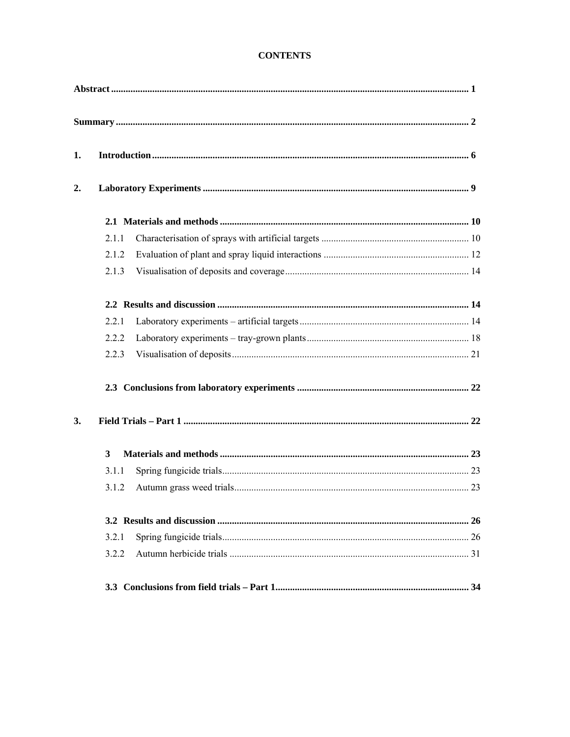# **CONTENTS**

| 1. |       |  |  |
|----|-------|--|--|
| 2. |       |  |  |
|    |       |  |  |
|    | 2.1.1 |  |  |
|    | 2.1.2 |  |  |
|    | 2.1.3 |  |  |
|    |       |  |  |
|    | 2.2.1 |  |  |
|    | 2.2.2 |  |  |
|    | 2.2.3 |  |  |
|    |       |  |  |
| 3. |       |  |  |
|    | 3     |  |  |
|    | 3.1.1 |  |  |
|    | 3.1.2 |  |  |
|    |       |  |  |
|    | 3.2.1 |  |  |
|    | 3.2.2 |  |  |
|    |       |  |  |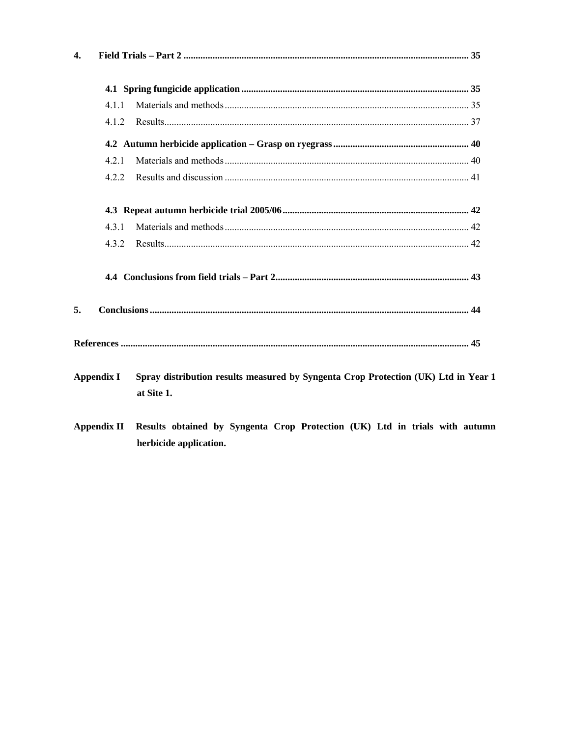| 4.                |                                                                                                  |  |
|-------------------|--------------------------------------------------------------------------------------------------|--|
|                   |                                                                                                  |  |
| 4.1.1             |                                                                                                  |  |
| 4.1.2             |                                                                                                  |  |
|                   |                                                                                                  |  |
| 4.2.1             |                                                                                                  |  |
| 4.2.2             |                                                                                                  |  |
|                   |                                                                                                  |  |
| 431               |                                                                                                  |  |
| 4.3.2             |                                                                                                  |  |
|                   |                                                                                                  |  |
|                   |                                                                                                  |  |
|                   |                                                                                                  |  |
| <b>Appendix I</b> | Spray distribution results measured by Syngenta Crop Protection (UK) Ltd in Year 1<br>at Site 1. |  |

**Appendix II** Results obtained by Syngenta Crop Protection (UK) Ltd in trials with autumn herbicide application.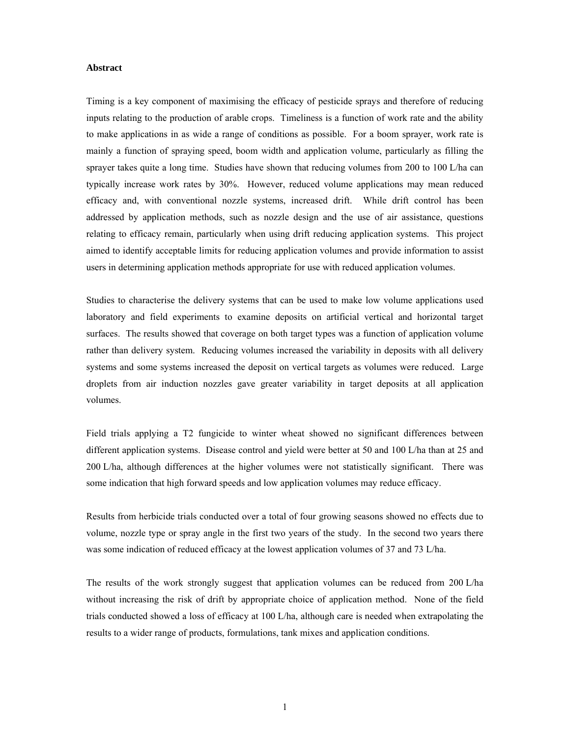#### **Abstract**

Timing is a key component of maximising the efficacy of pesticide sprays and therefore of reducing inputs relating to the production of arable crops. Timeliness is a function of work rate and the ability to make applications in as wide a range of conditions as possible. For a boom sprayer, work rate is mainly a function of spraying speed, boom width and application volume, particularly as filling the sprayer takes quite a long time. Studies have shown that reducing volumes from 200 to 100 L/ha can typically increase work rates by 30%. However, reduced volume applications may mean reduced efficacy and, with conventional nozzle systems, increased drift. While drift control has been addressed by application methods, such as nozzle design and the use of air assistance, questions relating to efficacy remain, particularly when using drift reducing application systems. This project aimed to identify acceptable limits for reducing application volumes and provide information to assist users in determining application methods appropriate for use with reduced application volumes.

Studies to characterise the delivery systems that can be used to make low volume applications used laboratory and field experiments to examine deposits on artificial vertical and horizontal target surfaces. The results showed that coverage on both target types was a function of application volume rather than delivery system. Reducing volumes increased the variability in deposits with all delivery systems and some systems increased the deposit on vertical targets as volumes were reduced. Large droplets from air induction nozzles gave greater variability in target deposits at all application volumes.

Field trials applying a T2 fungicide to winter wheat showed no significant differences between different application systems. Disease control and yield were better at 50 and 100 L/ha than at 25 and 200 L/ha, although differences at the higher volumes were not statistically significant. There was some indication that high forward speeds and low application volumes may reduce efficacy.

Results from herbicide trials conducted over a total of four growing seasons showed no effects due to volume, nozzle type or spray angle in the first two years of the study. In the second two years there was some indication of reduced efficacy at the lowest application volumes of 37 and 73 L/ha.

The results of the work strongly suggest that application volumes can be reduced from 200 L/ha without increasing the risk of drift by appropriate choice of application method. None of the field trials conducted showed a loss of efficacy at 100 L/ha, although care is needed when extrapolating the results to a wider range of products, formulations, tank mixes and application conditions.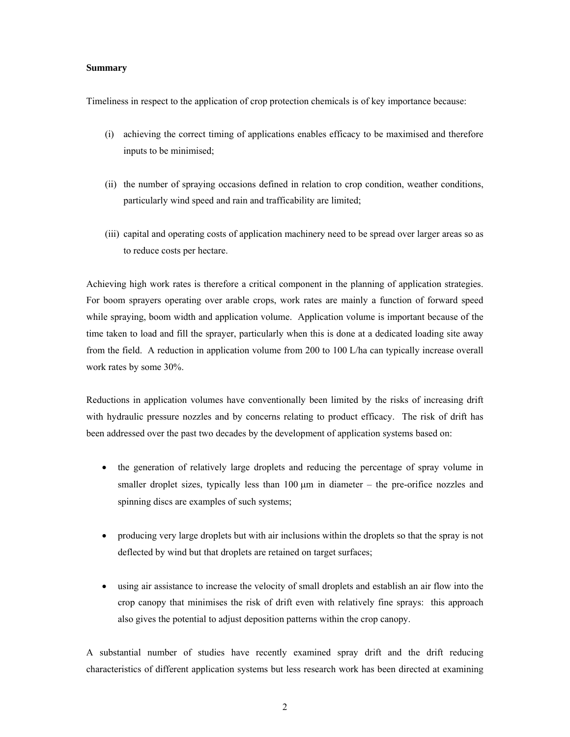#### **Summary**

Timeliness in respect to the application of crop protection chemicals is of key importance because:

- (i) achieving the correct timing of applications enables efficacy to be maximised and therefore inputs to be minimised;
- (ii) the number of spraying occasions defined in relation to crop condition, weather conditions, particularly wind speed and rain and trafficability are limited;
- (iii) capital and operating costs of application machinery need to be spread over larger areas so as to reduce costs per hectare.

Achieving high work rates is therefore a critical component in the planning of application strategies. For boom sprayers operating over arable crops, work rates are mainly a function of forward speed while spraying, boom width and application volume. Application volume is important because of the time taken to load and fill the sprayer, particularly when this is done at a dedicated loading site away from the field. A reduction in application volume from 200 to 100 L/ha can typically increase overall work rates by some 30%.

Reductions in application volumes have conventionally been limited by the risks of increasing drift with hydraulic pressure nozzles and by concerns relating to product efficacy. The risk of drift has been addressed over the past two decades by the development of application systems based on:

- the generation of relatively large droplets and reducing the percentage of spray volume in smaller droplet sizes, typically less than  $100 \mu m$  in diameter – the pre-orifice nozzles and spinning discs are examples of such systems;
- producing very large droplets but with air inclusions within the droplets so that the spray is not deflected by wind but that droplets are retained on target surfaces;
- using air assistance to increase the velocity of small droplets and establish an air flow into the crop canopy that minimises the risk of drift even with relatively fine sprays: this approach also gives the potential to adjust deposition patterns within the crop canopy.

A substantial number of studies have recently examined spray drift and the drift reducing characteristics of different application systems but less research work has been directed at examining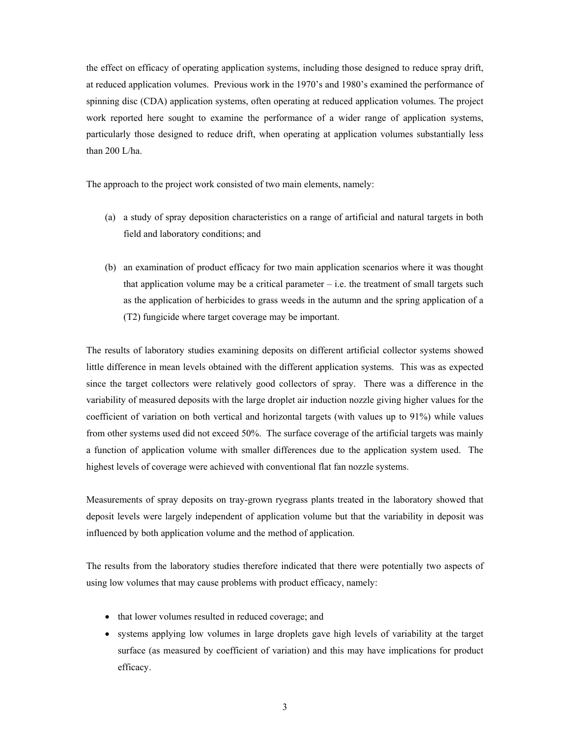the effect on efficacy of operating application systems, including those designed to reduce spray drift, at reduced application volumes. Previous work in the 1970's and 1980's examined the performance of spinning disc (CDA) application systems, often operating at reduced application volumes. The project work reported here sought to examine the performance of a wider range of application systems, particularly those designed to reduce drift, when operating at application volumes substantially less than 200 L/ha.

The approach to the project work consisted of two main elements, namely:

- (a) a study of spray deposition characteristics on a range of artificial and natural targets in both field and laboratory conditions; and
- (b) an examination of product efficacy for two main application scenarios where it was thought that application volume may be a critical parameter  $-$  i.e. the treatment of small targets such as the application of herbicides to grass weeds in the autumn and the spring application of a (T2) fungicide where target coverage may be important.

The results of laboratory studies examining deposits on different artificial collector systems showed little difference in mean levels obtained with the different application systems. This was as expected since the target collectors were relatively good collectors of spray. There was a difference in the variability of measured deposits with the large droplet air induction nozzle giving higher values for the coefficient of variation on both vertical and horizontal targets (with values up to 91%) while values from other systems used did not exceed 50%. The surface coverage of the artificial targets was mainly a function of application volume with smaller differences due to the application system used. The highest levels of coverage were achieved with conventional flat fan nozzle systems.

Measurements of spray deposits on tray-grown ryegrass plants treated in the laboratory showed that deposit levels were largely independent of application volume but that the variability in deposit was influenced by both application volume and the method of application.

The results from the laboratory studies therefore indicated that there were potentially two aspects of using low volumes that may cause problems with product efficacy, namely:

- that lower volumes resulted in reduced coverage; and
- systems applying low volumes in large droplets gave high levels of variability at the target surface (as measured by coefficient of variation) and this may have implications for product efficacy.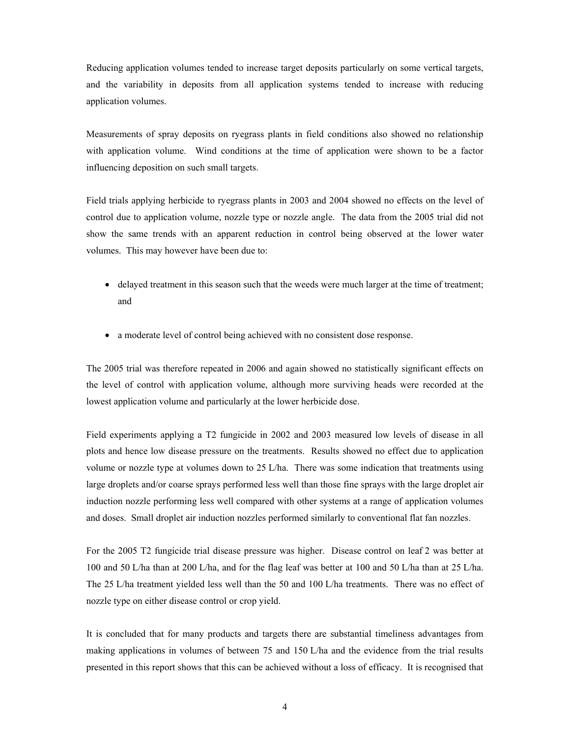Reducing application volumes tended to increase target deposits particularly on some vertical targets, and the variability in deposits from all application systems tended to increase with reducing application volumes.

Measurements of spray deposits on ryegrass plants in field conditions also showed no relationship with application volume. Wind conditions at the time of application were shown to be a factor influencing deposition on such small targets.

Field trials applying herbicide to ryegrass plants in 2003 and 2004 showed no effects on the level of control due to application volume, nozzle type or nozzle angle. The data from the 2005 trial did not show the same trends with an apparent reduction in control being observed at the lower water volumes. This may however have been due to:

- delayed treatment in this season such that the weeds were much larger at the time of treatment; and
- a moderate level of control being achieved with no consistent dose response.

The 2005 trial was therefore repeated in 2006 and again showed no statistically significant effects on the level of control with application volume, although more surviving heads were recorded at the lowest application volume and particularly at the lower herbicide dose.

Field experiments applying a T2 fungicide in 2002 and 2003 measured low levels of disease in all plots and hence low disease pressure on the treatments. Results showed no effect due to application volume or nozzle type at volumes down to 25 L/ha. There was some indication that treatments using large droplets and/or coarse sprays performed less well than those fine sprays with the large droplet air induction nozzle performing less well compared with other systems at a range of application volumes and doses. Small droplet air induction nozzles performed similarly to conventional flat fan nozzles.

For the 2005 T2 fungicide trial disease pressure was higher. Disease control on leaf 2 was better at 100 and 50 L/ha than at 200 L/ha, and for the flag leaf was better at 100 and 50 L/ha than at 25 L/ha. The 25 L/ha treatment yielded less well than the 50 and 100 L/ha treatments. There was no effect of nozzle type on either disease control or crop yield.

It is concluded that for many products and targets there are substantial timeliness advantages from making applications in volumes of between 75 and 150 L/ha and the evidence from the trial results presented in this report shows that this can be achieved without a loss of efficacy. It is recognised that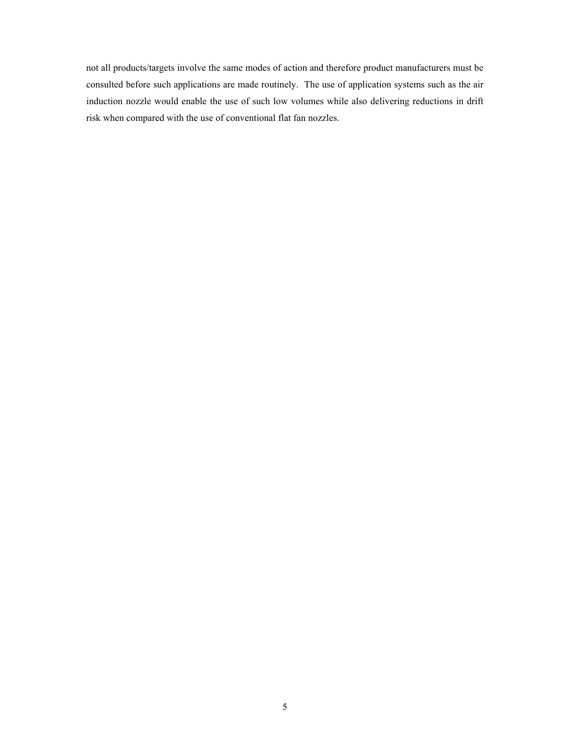not all products/targets involve the same modes of action and therefore product manufacturers must be consulted before such applications are made routinely. The use of application systems such as the air induction nozzle would enable the use of such low volumes while also delivering reductions in drift risk when compared with the use of conventional flat fan nozzles.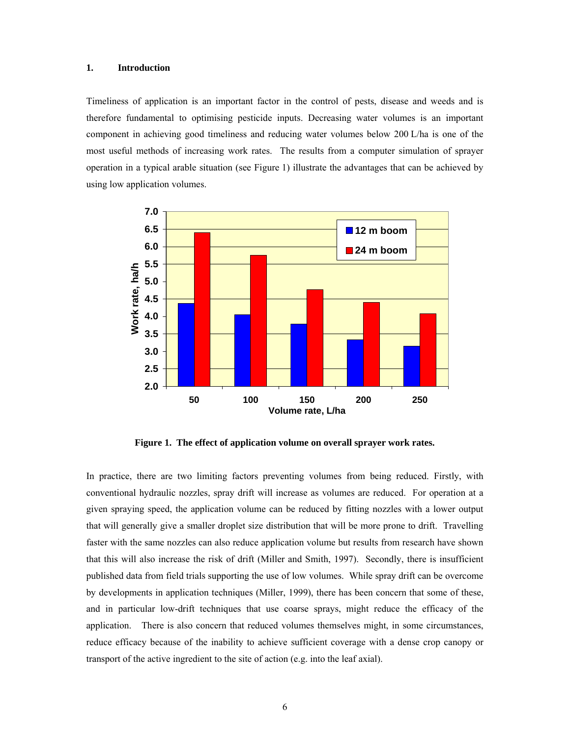# **1. Introduction**

Timeliness of application is an important factor in the control of pests, disease and weeds and is therefore fundamental to optimising pesticide inputs. Decreasing water volumes is an important component in achieving good timeliness and reducing water volumes below 200 L/ha is one of the most useful methods of increasing work rates. The results from a computer simulation of sprayer operation in a typical arable situation (see Figure 1) illustrate the advantages that can be achieved by using low application volumes.



**Figure 1. The effect of application volume on overall sprayer work rates.** 

In practice, there are two limiting factors preventing volumes from being reduced. Firstly, with conventional hydraulic nozzles, spray drift will increase as volumes are reduced. For operation at a given spraying speed, the application volume can be reduced by fitting nozzles with a lower output that will generally give a smaller droplet size distribution that will be more prone to drift. Travelling faster with the same nozzles can also reduce application volume but results from research have shown that this will also increase the risk of drift (Miller and Smith, 1997). Secondly, there is insufficient published data from field trials supporting the use of low volumes. While spray drift can be overcome by developments in application techniques (Miller, 1999), there has been concern that some of these, and in particular low-drift techniques that use coarse sprays, might reduce the efficacy of the application. There is also concern that reduced volumes themselves might, in some circumstances, reduce efficacy because of the inability to achieve sufficient coverage with a dense crop canopy or transport of the active ingredient to the site of action (e.g. into the leaf axial).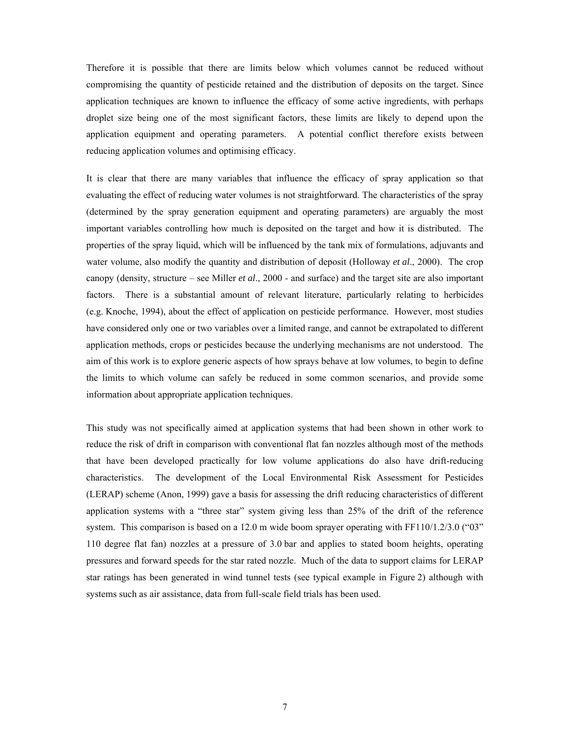Therefore it is possible that there are limits below which volumes cannot be reduced without compromising the quantity of pesticide retained and the distribution of deposits on the target. Since application techniques are known to influence the efficacy of some active ingredients, with perhaps droplet size being one of the most significant factors, these limits are likely to depend upon the application equipment and operating parameters. A potential conflict therefore exists between reducing application volumes and optimising efficacy.

It is clear that there are many variables that influence the efficacy of spray application so that evaluating the effect of reducing water volumes is not straightforward. The characteristics of the spray (determined by the spray generation equipment and operating parameters) are arguably the most important variables controlling how much is deposited on the target and how it is distributed. The properties of the spray liquid, which will be influenced by the tank mix of formulations, adjuvants and water volume, also modify the quantity and distribution of deposit (Holloway *et al*., 2000). The crop canopy (density, structure – see Miller *et al*., 2000 - and surface) and the target site are also important factors. There is a substantial amount of relevant literature, particularly relating to herbicides (e.g. Knoche, 1994), about the effect of application on pesticide performance. However, most studies have considered only one or two variables over a limited range, and cannot be extrapolated to different application methods, crops or pesticides because the underlying mechanisms are not understood. The aim of this work is to explore generic aspects of how sprays behave at low volumes, to begin to define the limits to which volume can safely be reduced in some common scenarios, and provide some information about appropriate application techniques.

This study was not specifically aimed at application systems that had been shown in other work to reduce the risk of drift in comparison with conventional flat fan nozzles although most of the methods that have been developed practically for low volume applications do also have drift-reducing characteristics. The development of the Local Environmental Risk Assessment for Pesticides (LERAP) scheme (Anon, 1999) gave a basis for assessing the drift reducing characteristics of different application systems with a "three star" system giving less than 25% of the drift of the reference system. This comparison is based on a 12.0 m wide boom sprayer operating with FF110/1.2/3.0 ("03") 110 degree flat fan) nozzles at a pressure of 3.0 bar and applies to stated boom heights, operating pressures and forward speeds for the star rated nozzle. Much of the data to support claims for LERAP star ratings has been generated in wind tunnel tests (see typical example in Figure 2) although with systems such as air assistance, data from full-scale field trials has been used.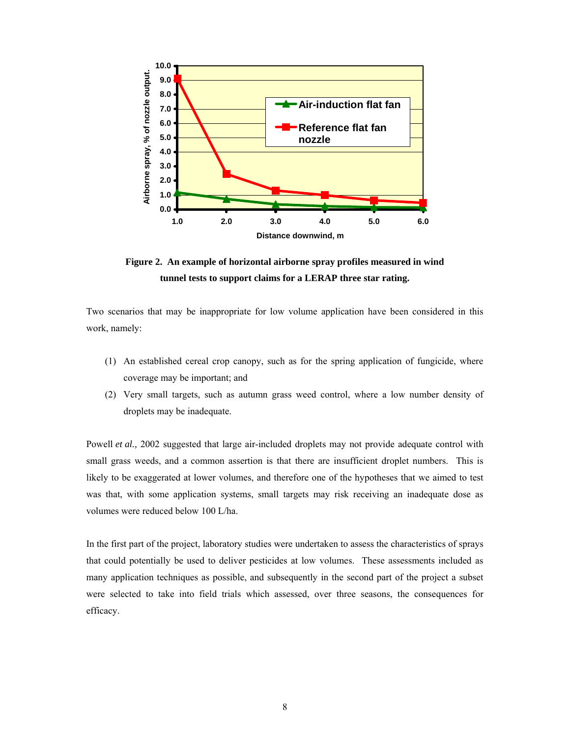

**Figure 2. An example of horizontal airborne spray profiles measured in wind tunnel tests to support claims for a LERAP three star rating.** 

Two scenarios that may be inappropriate for low volume application have been considered in this work, namely:

- (1) An established cereal crop canopy, such as for the spring application of fungicide, where coverage may be important; and
- (2) Very small targets, such as autumn grass weed control, where a low number density of droplets may be inadequate.

Powell *et al.*, 2002 suggested that large air-included droplets may not provide adequate control with small grass weeds, and a common assertion is that there are insufficient droplet numbers. This is likely to be exaggerated at lower volumes, and therefore one of the hypotheses that we aimed to test was that, with some application systems, small targets may risk receiving an inadequate dose as volumes were reduced below 100 L/ha.

In the first part of the project, laboratory studies were undertaken to assess the characteristics of sprays that could potentially be used to deliver pesticides at low volumes. These assessments included as many application techniques as possible, and subsequently in the second part of the project a subset were selected to take into field trials which assessed, over three seasons, the consequences for efficacy.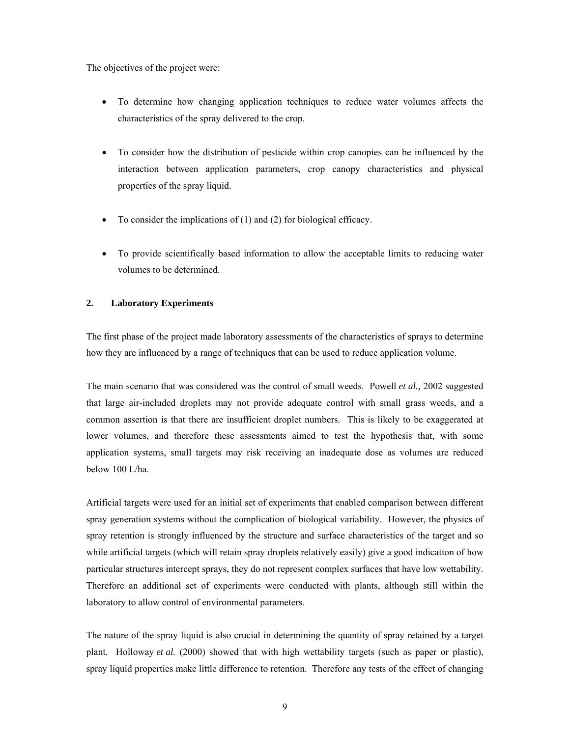The objectives of the project were:

- To determine how changing application techniques to reduce water volumes affects the characteristics of the spray delivered to the crop.
- To consider how the distribution of pesticide within crop canopies can be influenced by the interaction between application parameters, crop canopy characteristics and physical properties of the spray liquid.
- To consider the implications of (1) and (2) for biological efficacy.
- To provide scientifically based information to allow the acceptable limits to reducing water volumes to be determined.

# **2. Laboratory Experiments**

The first phase of the project made laboratory assessments of the characteristics of sprays to determine how they are influenced by a range of techniques that can be used to reduce application volume.

The main scenario that was considered was the control of small weeds. Powell *et al.,* 2002 suggested that large air-included droplets may not provide adequate control with small grass weeds, and a common assertion is that there are insufficient droplet numbers. This is likely to be exaggerated at lower volumes, and therefore these assessments aimed to test the hypothesis that, with some application systems, small targets may risk receiving an inadequate dose as volumes are reduced below 100 L/ha.

Artificial targets were used for an initial set of experiments that enabled comparison between different spray generation systems without the complication of biological variability. However, the physics of spray retention is strongly influenced by the structure and surface characteristics of the target and so while artificial targets (which will retain spray droplets relatively easily) give a good indication of how particular structures intercept sprays, they do not represent complex surfaces that have low wettability. Therefore an additional set of experiments were conducted with plants, although still within the laboratory to allow control of environmental parameters.

The nature of the spray liquid is also crucial in determining the quantity of spray retained by a target plant. Holloway *et al.* (2000) showed that with high wettability targets (such as paper or plastic), spray liquid properties make little difference to retention. Therefore any tests of the effect of changing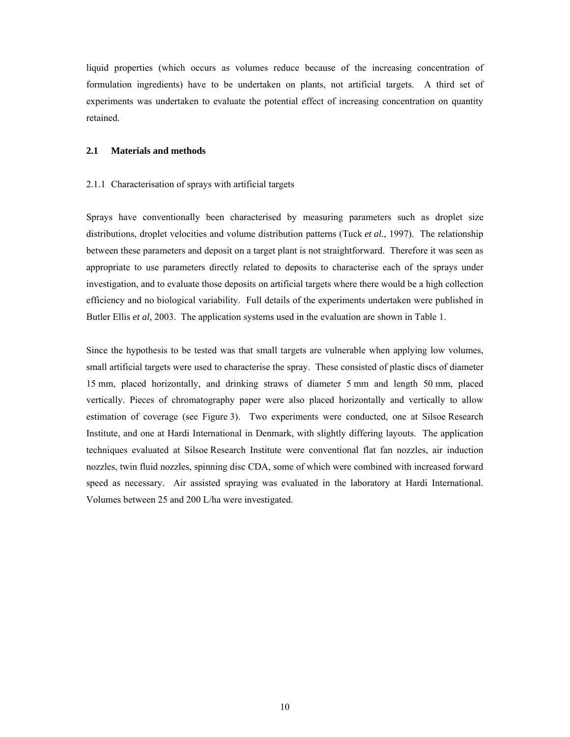liquid properties (which occurs as volumes reduce because of the increasing concentration of formulation ingredients) have to be undertaken on plants, not artificial targets. A third set of experiments was undertaken to evaluate the potential effect of increasing concentration on quantity retained.

# **2.1 Materials and methods**

#### 2.1.1 Characterisation of sprays with artificial targets

Sprays have conventionally been characterised by measuring parameters such as droplet size distributions, droplet velocities and volume distribution patterns (Tuck *et al.*, 1997). The relationship between these parameters and deposit on a target plant is not straightforward. Therefore it was seen as appropriate to use parameters directly related to deposits to characterise each of the sprays under investigation, and to evaluate those deposits on artificial targets where there would be a high collection efficiency and no biological variability. Full details of the experiments undertaken were published in Butler Ellis *et al,* 2003. The application systems used in the evaluation are shown in Table 1.

Since the hypothesis to be tested was that small targets are vulnerable when applying low volumes, small artificial targets were used to characterise the spray. These consisted of plastic discs of diameter 15 mm, placed horizontally, and drinking straws of diameter 5 mm and length 50 mm, placed vertically. Pieces of chromatography paper were also placed horizontally and vertically to allow estimation of coverage (see Figure 3). Two experiments were conducted, one at Silsoe Research Institute, and one at Hardi International in Denmark, with slightly differing layouts. The application techniques evaluated at Silsoe Research Institute were conventional flat fan nozzles, air induction nozzles, twin fluid nozzles, spinning disc CDA, some of which were combined with increased forward speed as necessary. Air assisted spraying was evaluated in the laboratory at Hardi International. Volumes between 25 and 200 L/ha were investigated.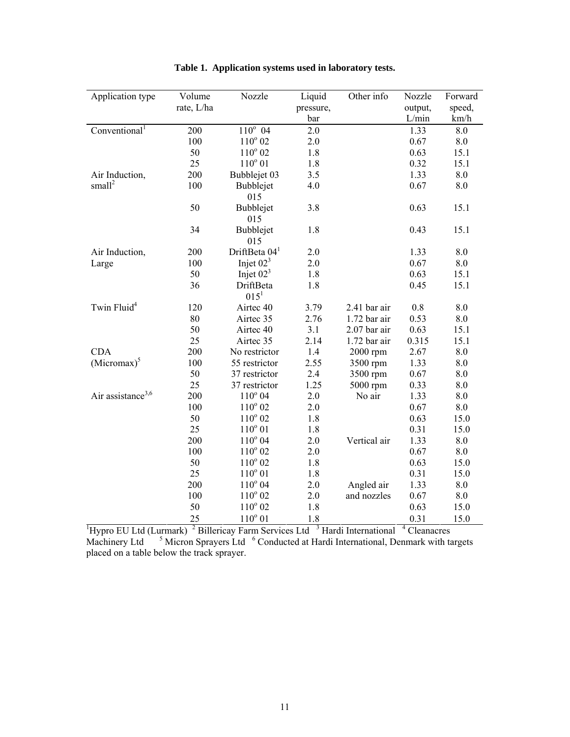| Application type                    | Volume     | Nozzle                                    | Liquid    | Other info                       | Nozzle          | Forward |
|-------------------------------------|------------|-------------------------------------------|-----------|----------------------------------|-----------------|---------|
|                                     | rate, L/ha |                                           | pressure, |                                  | output,         | speed,  |
|                                     |            |                                           | bar       |                                  | L/min           | km/h    |
| Conventional <sup>1</sup>           | 200        | $110^{\circ}$ 04                          | 2.0       |                                  | 1.33            | 8.0     |
|                                     | 100        | $110^{\circ}$ 02                          | 2.0       |                                  | 0.67            | 8.0     |
|                                     | 50         | $110^{\circ}$ 02                          | 1.8       |                                  | 0.63            | 15.1    |
|                                     | 25         | $110^{\circ} 01$                          | 1.8       |                                  | 0.32            | 15.1    |
| Air Induction,                      | 200        | Bubblejet 03                              | 3.5       |                                  | 1.33            | 8.0     |
| small <sup>2</sup>                  | 100        | Bubblejet<br>015                          | 4.0       |                                  | 0.67            | 8.0     |
|                                     | 50         | Bubblejet<br>015                          | 3.8       |                                  | 0.63            | 15.1    |
|                                     | 34         | Bubblejet<br>015                          | 1.8       |                                  | 0.43            | 15.1    |
| Air Induction,                      | 200        | DriftBeta $041$                           | 2.0       |                                  | 1.33            | 8.0     |
| Large                               | 100        | Injet $023$                               | 2.0       |                                  | 0.67            | 8.0     |
|                                     | 50         | Injet $023$                               | 1.8       |                                  | 0.63            | 15.1    |
|                                     | 36         | DriftBeta                                 | 1.8       |                                  | 0.45            | 15.1    |
|                                     |            | $015^1$                                   |           |                                  |                 |         |
| Twin Fluid <sup>4</sup>             | 120        | Airtec 40                                 | 3.79      | 2.41 bar air                     | 0.8             | 8.0     |
|                                     | 80         | Airtec 35                                 | 2.76      | $1.72$ bar air                   | 0.53            | 8.0     |
|                                     | 50         | Airtec 40                                 | 3.1       | 2.07 bar air                     | 0.63            | 15.1    |
|                                     | 25         | Airtec 35                                 | 2.14      | 1.72 bar air                     | 0.315           | 15.1    |
| <b>CDA</b>                          | 200        | No restrictor                             | 1.4       | 2000 rpm                         | 2.67            | 8.0     |
| $(Micromax)^5$                      | 100        | 55 restrictor                             | 2.55      | 3500 rpm                         | 1.33            | 8.0     |
|                                     | 50         | 37 restrictor                             | 2.4       | 3500 rpm                         | 0.67            | 8.0     |
|                                     | 25         | 37 restrictor                             | 1.25      | 5000 rpm                         | 0.33            | 8.0     |
| Air assistance <sup>3,6</sup>       | 200        | $110^{\circ} 04$                          | 2.0       | No air                           | 1.33            | 8.0     |
|                                     | 100        | $110^{\circ}$ 02                          | 2.0       |                                  | 0.67            | 8.0     |
|                                     | 50         | $110^{\circ}$ 02                          | 1.8       |                                  | 0.63            | 15.0    |
|                                     | 25         | $110^{\circ} 01$                          | 1.8       |                                  | 0.31            | 15.0    |
|                                     | 200        | $110^{\circ}$ 04                          | 2.0       | Vertical air                     | 1.33            | 8.0     |
|                                     | 100        | $110^{\circ}$ 02                          | 2.0       |                                  | 0.67            | 8.0     |
|                                     | 50         | $110^{\circ}$ 02                          | 1.8       |                                  | 0.63            | 15.0    |
|                                     | 25         | $110^{\circ}$ 01                          | 1.8       |                                  | 0.31            | 15.0    |
|                                     | 200        | $110^{\circ}$ 04                          | 2.0       | Angled air                       | 1.33            | 8.0     |
|                                     | 100        | $110^{\circ}$ 02                          | 2.0       | and nozzles                      | 0.67            | 8.0     |
|                                     | 50         | $110^{\circ}$ 02                          | 1.8       |                                  | 0.63            | 15.0    |
|                                     | 25         | $110^{\circ}$ 01                          | 1.8       |                                  | 0.31            | 15.0    |
| <sup>1</sup> Hypro EU Ltd (Lurmark) |            | <sup>2</sup> Billericay Farm Services Ltd |           | <sup>3</sup> Hardi International | 4<br>Cleanacres |         |

# **Table 1. Application systems used in laboratory tests.**

Machinery Ltd <sup>5</sup> Micron Sprayers Ltd <sup>6</sup> Conducted at Hardi International, Denmark with targets placed on a table below the track sprayer.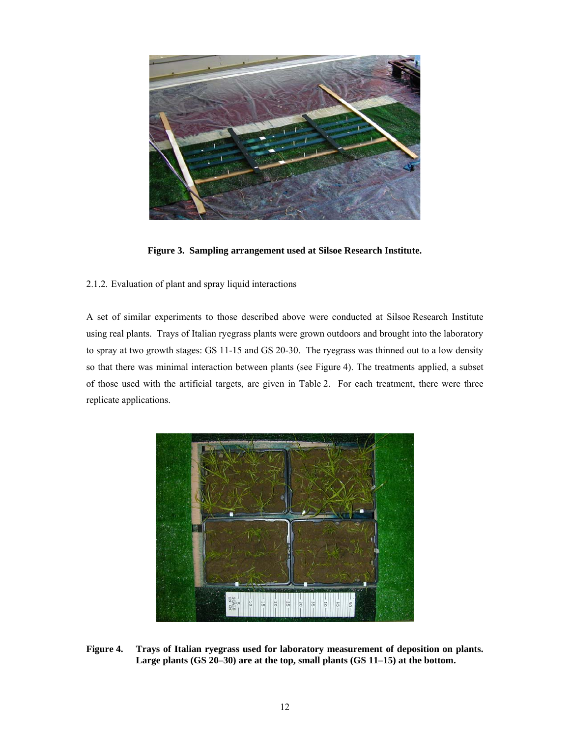

**Figure 3. Sampling arrangement used at Silsoe Research Institute.** 

2.1.2. Evaluation of plant and spray liquid interactions

A set of similar experiments to those described above were conducted at Silsoe Research Institute using real plants. Trays of Italian ryegrass plants were grown outdoors and brought into the laboratory to spray at two growth stages: GS 11-15 and GS 20-30. The ryegrass was thinned out to a low density so that there was minimal interaction between plants (see Figure 4). The treatments applied, a subset of those used with the artificial targets, are given in Table 2. For each treatment, there were three replicate applications.



**Figure 4. Trays of Italian ryegrass used for laboratory measurement of deposition on plants. Large plants (GS 20–30) are at the top, small plants (GS 11–15) at the bottom.**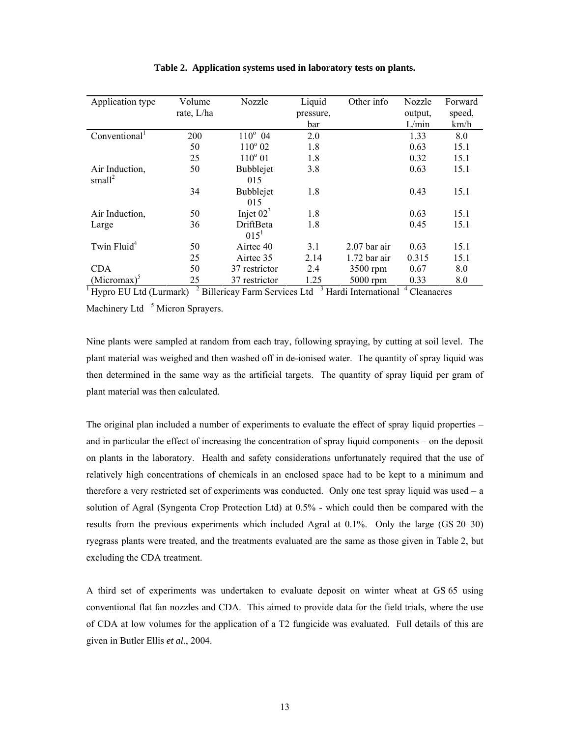| Application type          | Volume         | Nozzle                       | Liquid    | Other info                       | Nozzle                  | Forward |
|---------------------------|----------------|------------------------------|-----------|----------------------------------|-------------------------|---------|
|                           | rate, L/ha     |                              | pressure, |                                  | output,                 | speed,  |
|                           |                |                              | bar       |                                  | L/min                   | km/h    |
| Conventional <sup>1</sup> | 200            | $110^{\circ}$ 04             | 2.0       |                                  | 1.33                    | 8.0     |
|                           | 50             | $110^{\circ} 02$             | 1.8       |                                  | 0.63                    | 15.1    |
|                           | 25             | $110^{\circ} 01$             | 1.8       |                                  | 0.32                    | 15.1    |
| Air Induction,            | 50             | <b>Bubblejet</b>             | 3.8       |                                  | 0.63                    | 15.1    |
| small <sup>2</sup>        |                | 015                          |           |                                  |                         |         |
|                           | 34             | <b>Bubblejet</b>             | 1.8       |                                  | 0.43                    | 15.1    |
|                           |                | 015                          |           |                                  |                         |         |
| Air Induction,            | 50             | Injet $023$                  | 1.8       |                                  | 0.63                    | 15.1    |
| Large                     | 36             | DriftBeta                    | 1.8       |                                  | 0.45                    | 15.1    |
|                           |                | $015^1$                      |           |                                  |                         |         |
| Twin Fluid <sup>4</sup>   | 50             | Airtec 40                    | 3.1       | $2.07$ bar air                   | 0.63                    | 15.1    |
|                           | 25             | Airtec 35                    | 2.14      | $1.72$ bar air                   | 0.315                   | 15.1    |
| <b>CDA</b>                | 50             | 37 restrictor                | 2.4       | 3500 rpm                         | 0.67                    | 8.0     |
| $(Micromax)^3$            | 25             | 37 restrictor                | 1.25      | 5000 rpm                         | 0.33                    | 8.0     |
| Hypro EU Ltd (Lurmark)    | $\overline{z}$ | Billericay Farm Services Ltd |           | <sup>3</sup> Hardi International | <sup>4</sup> Cleanacres |         |

#### **Table 2. Application systems used in laboratory tests on plants.**

Machinery Ltd<sup>5</sup> Micron Sprayers.

Nine plants were sampled at random from each tray, following spraying, by cutting at soil level. The plant material was weighed and then washed off in de-ionised water. The quantity of spray liquid was then determined in the same way as the artificial targets. The quantity of spray liquid per gram of plant material was then calculated.

The original plan included a number of experiments to evaluate the effect of spray liquid properties – and in particular the effect of increasing the concentration of spray liquid components – on the deposit on plants in the laboratory. Health and safety considerations unfortunately required that the use of relatively high concentrations of chemicals in an enclosed space had to be kept to a minimum and therefore a very restricted set of experiments was conducted. Only one test spray liquid was used – a solution of Agral (Syngenta Crop Protection Ltd) at 0.5% - which could then be compared with the results from the previous experiments which included Agral at 0.1%. Only the large (GS 20–30) ryegrass plants were treated, and the treatments evaluated are the same as those given in Table 2, but excluding the CDA treatment.

A third set of experiments was undertaken to evaluate deposit on winter wheat at GS 65 using conventional flat fan nozzles and CDA. This aimed to provide data for the field trials, where the use of CDA at low volumes for the application of a T2 fungicide was evaluated. Full details of this are given in Butler Ellis *et al.*, 2004.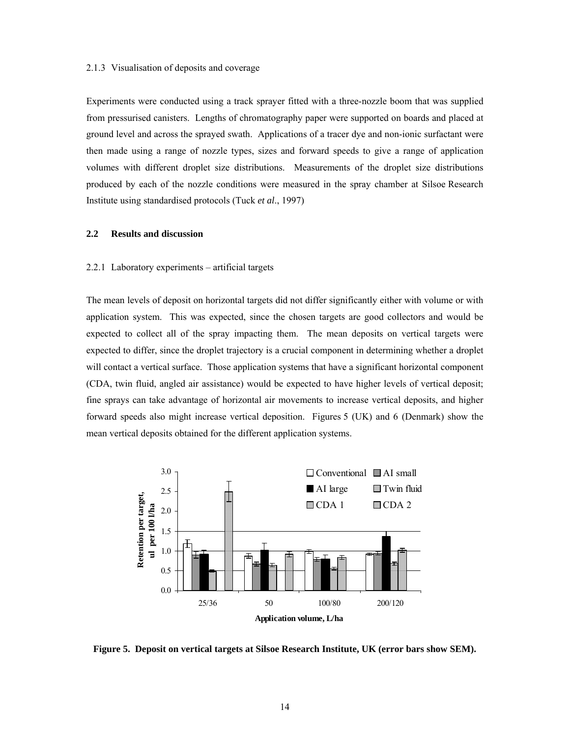#### 2.1.3 Visualisation of deposits and coverage

Experiments were conducted using a track sprayer fitted with a three-nozzle boom that was supplied from pressurised canisters. Lengths of chromatography paper were supported on boards and placed at ground level and across the sprayed swath. Applications of a tracer dye and non-ionic surfactant were then made using a range of nozzle types, sizes and forward speeds to give a range of application volumes with different droplet size distributions. Measurements of the droplet size distributions produced by each of the nozzle conditions were measured in the spray chamber at Silsoe Research Institute using standardised protocols (Tuck *et al*., 1997)

### **2.2 Results and discussion**

# 2.2.1 Laboratory experiments – artificial targets

The mean levels of deposit on horizontal targets did not differ significantly either with volume or with application system. This was expected, since the chosen targets are good collectors and would be expected to collect all of the spray impacting them. The mean deposits on vertical targets were expected to differ, since the droplet trajectory is a crucial component in determining whether a droplet will contact a vertical surface. Those application systems that have a significant horizontal component (CDA, twin fluid, angled air assistance) would be expected to have higher levels of vertical deposit; fine sprays can take advantage of horizontal air movements to increase vertical deposits, and higher forward speeds also might increase vertical deposition. Figures 5 (UK) and 6 (Denmark) show the mean vertical deposits obtained for the different application systems.



**Figure 5. Deposit on vertical targets at Silsoe Research Institute, UK (error bars show SEM).**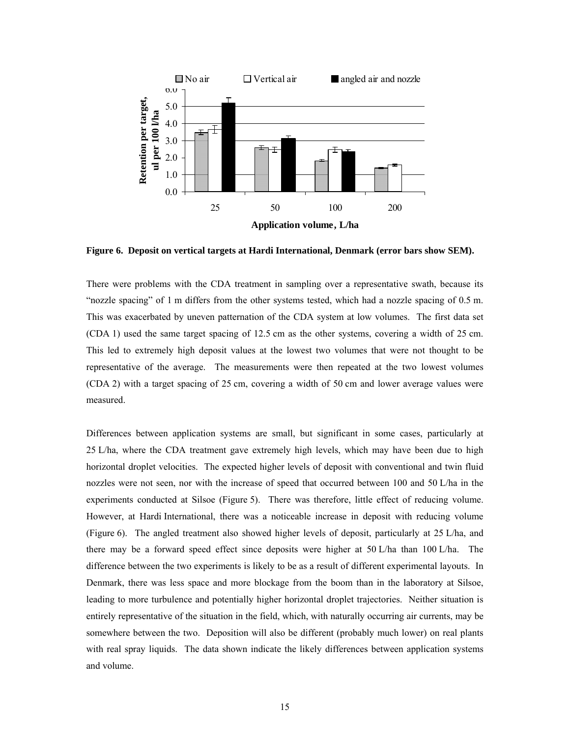

**Figure 6. Deposit on vertical targets at Hardi International, Denmark (error bars show SEM).** 

There were problems with the CDA treatment in sampling over a representative swath, because its "nozzle spacing" of 1 m differs from the other systems tested, which had a nozzle spacing of 0.5 m. This was exacerbated by uneven patternation of the CDA system at low volumes. The first data set (CDA 1) used the same target spacing of 12.5 cm as the other systems, covering a width of 25 cm. This led to extremely high deposit values at the lowest two volumes that were not thought to be representative of the average. The measurements were then repeated at the two lowest volumes (CDA 2) with a target spacing of 25 cm, covering a width of 50 cm and lower average values were measured.

Differences between application systems are small, but significant in some cases, particularly at 25 L/ha, where the CDA treatment gave extremely high levels, which may have been due to high horizontal droplet velocities. The expected higher levels of deposit with conventional and twin fluid nozzles were not seen, nor with the increase of speed that occurred between 100 and 50 L/ha in the experiments conducted at Silsoe (Figure 5). There was therefore, little effect of reducing volume. However, at Hardi International, there was a noticeable increase in deposit with reducing volume (Figure 6). The angled treatment also showed higher levels of deposit, particularly at 25 L/ha, and there may be a forward speed effect since deposits were higher at 50 L/ha than 100 L/ha. The difference between the two experiments is likely to be as a result of different experimental layouts. In Denmark, there was less space and more blockage from the boom than in the laboratory at Silsoe, leading to more turbulence and potentially higher horizontal droplet trajectories. Neither situation is entirely representative of the situation in the field, which, with naturally occurring air currents, may be somewhere between the two. Deposition will also be different (probably much lower) on real plants with real spray liquids. The data shown indicate the likely differences between application systems and volume.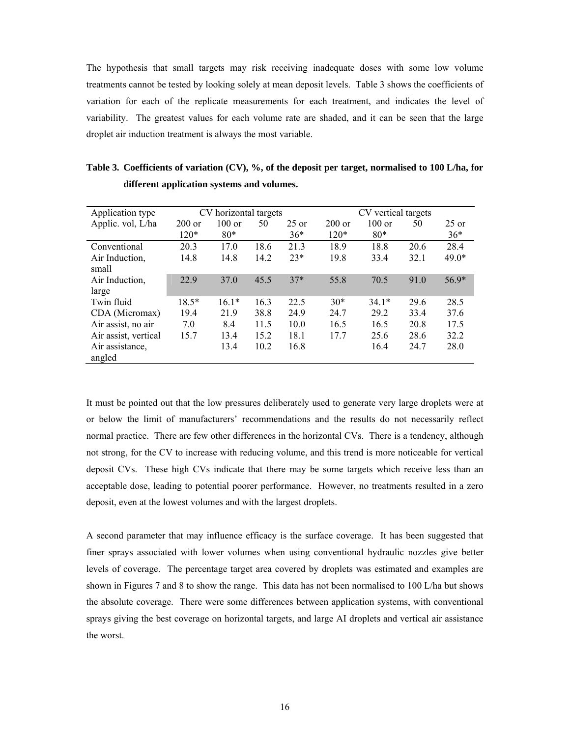The hypothesis that small targets may risk receiving inadequate doses with some low volume treatments cannot be tested by looking solely at mean deposit levels. Table 3 shows the coefficients of variation for each of the replicate measurements for each treatment, and indicates the level of variability. The greatest values for each volume rate are shaded, and it can be seen that the large droplet air induction treatment is always the most variable.

| Application type     |          | CV horizontal targets |      |         | CV vertical targets |                  |      |         |
|----------------------|----------|-----------------------|------|---------|---------------------|------------------|------|---------|
| Applic. vol, L/ha    | $200$ or | $100 \text{ or}$      | 50   | $25$ or | $200$ or            | $100 \text{ or}$ | 50   | $25$ or |
|                      | $120*$   | $80*$                 |      | $36*$   | $120*$              | $80*$            |      | $36*$   |
| Conventional         | 20.3     | 17.0                  | 18.6 | 21.3    | 18.9                | 18.8             | 20.6 | 28.4    |
| Air Induction,       | 14.8     | 14.8                  | 14.2 | $23*$   | 19.8                | 33.4             | 32.1 | $49.0*$ |
| small                |          |                       |      |         |                     |                  |      |         |
| Air Induction,       | 22.9     | 37.0                  | 45.5 | $37*$   | 55.8                | 70.5             | 91.0 | $56.9*$ |
| large                |          |                       |      |         |                     |                  |      |         |
| Twin fluid           | $18.5*$  | $16.1*$               | 16.3 | 22.5    | $30*$               | $34.1*$          | 29.6 | 28.5    |
| CDA (Micromax)       | 19.4     | 21.9                  | 38.8 | 24.9    | 24.7                | 29.2             | 33.4 | 37.6    |
| Air assist, no air   | 7.0      | 8.4                   | 11.5 | 10.0    | 16.5                | 16.5             | 20.8 | 17.5    |
| Air assist, vertical | 15.7     | 13.4                  | 15.2 | 18.1    | 17.7                | 25.6             | 28.6 | 32.2    |
| Air assistance,      |          | 13.4                  | 10.2 | 16.8    |                     | 16.4             | 24.7 | 28.0    |
| angled               |          |                       |      |         |                     |                  |      |         |

**Table 3. Coefficients of variation (CV), %, of the deposit per target, normalised to 100 L/ha, for different application systems and volumes.** 

It must be pointed out that the low pressures deliberately used to generate very large droplets were at or below the limit of manufacturers' recommendations and the results do not necessarily reflect normal practice. There are few other differences in the horizontal CVs. There is a tendency, although not strong, for the CV to increase with reducing volume, and this trend is more noticeable for vertical deposit CVs. These high CVs indicate that there may be some targets which receive less than an acceptable dose, leading to potential poorer performance. However, no treatments resulted in a zero deposit, even at the lowest volumes and with the largest droplets.

A second parameter that may influence efficacy is the surface coverage. It has been suggested that finer sprays associated with lower volumes when using conventional hydraulic nozzles give better levels of coverage. The percentage target area covered by droplets was estimated and examples are shown in Figures 7 and 8 to show the range. This data has not been normalised to 100 L/ha but shows the absolute coverage. There were some differences between application systems, with conventional sprays giving the best coverage on horizontal targets, and large AI droplets and vertical air assistance the worst.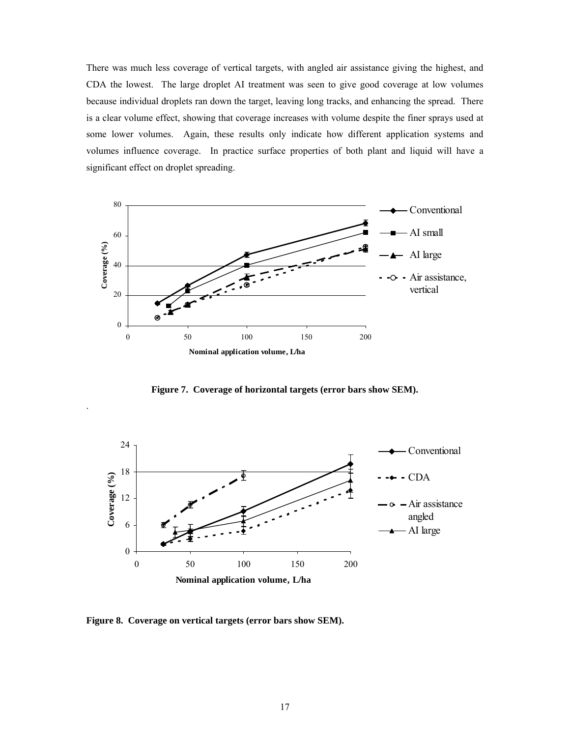There was much less coverage of vertical targets, with angled air assistance giving the highest, and CDA the lowest. The large droplet AI treatment was seen to give good coverage at low volumes because individual droplets ran down the target, leaving long tracks, and enhancing the spread. There is a clear volume effect, showing that coverage increases with volume despite the finer sprays used at some lower volumes. Again, these results only indicate how different application systems and volumes influence coverage. In practice surface properties of both plant and liquid will have a significant effect on droplet spreading.



**Figure 7. Coverage of horizontal targets (error bars show SEM).** 



**Figure 8. Coverage on vertical targets (error bars show SEM).** 

.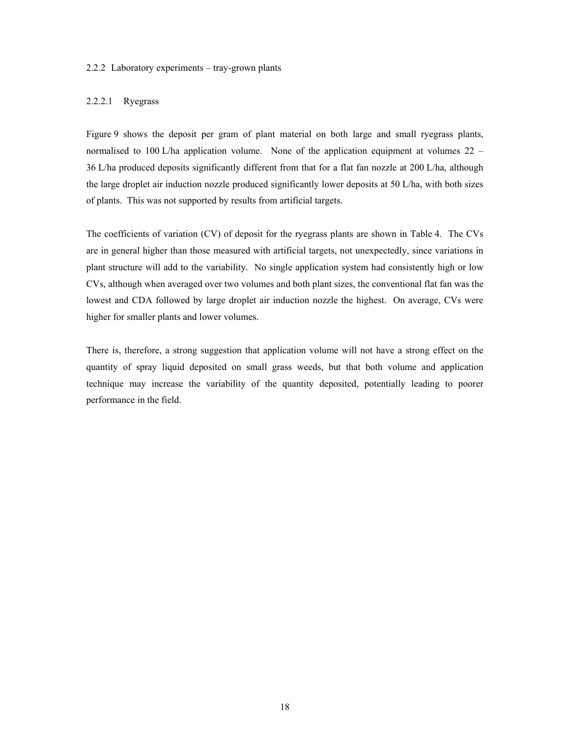#### 2.2.2 Laboratory experiments – tray-grown plants

#### 2.2.2.1 Ryegrass

Figure 9 shows the deposit per gram of plant material on both large and small ryegrass plants, normalised to 100 L/ha application volume. None of the application equipment at volumes 22 – 36 L/ha produced deposits significantly different from that for a flat fan nozzle at 200 L/ha, although the large droplet air induction nozzle produced significantly lower deposits at 50 L/ha, with both sizes of plants. This was not supported by results from artificial targets.

The coefficients of variation (CV) of deposit for the ryegrass plants are shown in Table 4. The CVs are in general higher than those measured with artificial targets, not unexpectedly, since variations in plant structure will add to the variability. No single application system had consistently high or low CVs, although when averaged over two volumes and both plant sizes, the conventional flat fan was the lowest and CDA followed by large droplet air induction nozzle the highest. On average, CVs were higher for smaller plants and lower volumes.

There is, therefore, a strong suggestion that application volume will not have a strong effect on the quantity of spray liquid deposited on small grass weeds, but that both volume and application technique may increase the variability of the quantity deposited, potentially leading to poorer performance in the field.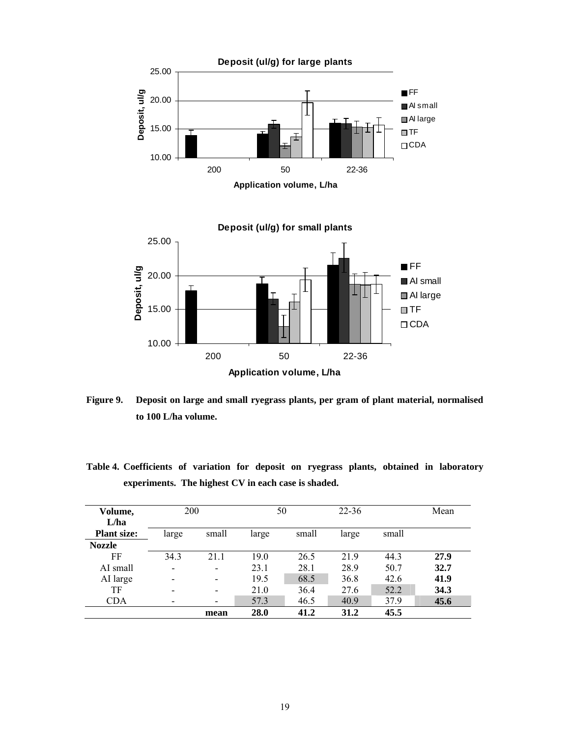

**Figure 9. Deposit on large and small ryegrass plants, per gram of plant material, normalised to 100 L/ha volume.** 

**Table 4. Coefficients of variation for deposit on ryegrass plants, obtained in laboratory experiments. The highest CV in each case is shaded.** 

| Volume,<br>L/ha    | 200                      |                          | 50    |       | $22 - 36$ |       | Mean |
|--------------------|--------------------------|--------------------------|-------|-------|-----------|-------|------|
| <b>Plant size:</b> | large                    | small                    | large | small | large     | small |      |
| <b>Nozzle</b>      |                          |                          |       |       |           |       |      |
| FF                 | 34.3                     | 21.1                     | 19.0  | 26.5  | 21.9      | 44.3  | 27.9 |
| AI small           | $\overline{\phantom{a}}$ | $\overline{\phantom{a}}$ | 23.1  | 28.1  | 28.9      | 50.7  | 32.7 |
| AI large           |                          | $\overline{\phantom{a}}$ | 19.5  | 68.5  | 36.8      | 42.6  | 41.9 |
| TF                 |                          | $\overline{\phantom{0}}$ | 21.0  | 36.4  | 27.6      | 52.2  | 34.3 |
| <b>CDA</b>         | -                        | $\overline{\phantom{a}}$ | 57.3  | 46.5  | 40.9      | 37.9  | 45.6 |
|                    |                          | mean                     | 28.0  | 41.2  | 31.2      | 45.5  |      |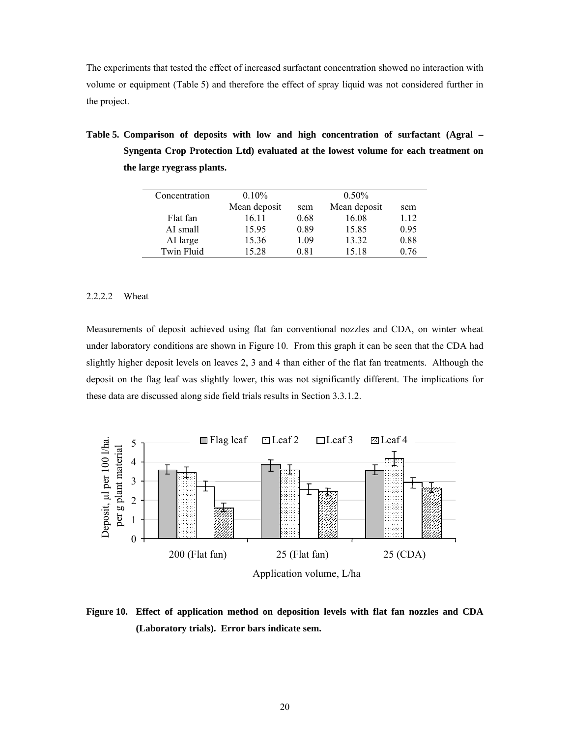The experiments that tested the effect of increased surfactant concentration showed no interaction with volume or equipment (Table 5) and therefore the effect of spray liquid was not considered further in the project.

**Table 5. Comparison of deposits with low and high concentration of surfactant (Agral – Syngenta Crop Protection Ltd) evaluated at the lowest volume for each treatment on the large ryegrass plants.** 

| Concentration     | $0.10\%$     |      | $0.50\%$     |      |
|-------------------|--------------|------|--------------|------|
|                   | Mean deposit | sem  | Mean deposit | sem  |
| Flat fan          | 16.11        | 0.68 | 16.08        | 1.12 |
| AI small          | 15.95        | 0.89 | 15.85        | 0.95 |
| AI large          | 15.36        | 1.09 | 13.32        | 0.88 |
| <b>Twin Fluid</b> | 15.28        | 0.81 | 15.18        | 0.76 |

#### 2.2.2.2 Wheat

Measurements of deposit achieved using flat fan conventional nozzles and CDA, on winter wheat under laboratory conditions are shown in Figure 10. From this graph it can be seen that the CDA had slightly higher deposit levels on leaves 2, 3 and 4 than either of the flat fan treatments. Although the deposit on the flag leaf was slightly lower, this was not significantly different. The implications for these data are discussed along side field trials results in Section 3.3.1.2.



**Figure 10. Effect of application method on deposition levels with flat fan nozzles and CDA (Laboratory trials). Error bars indicate sem.**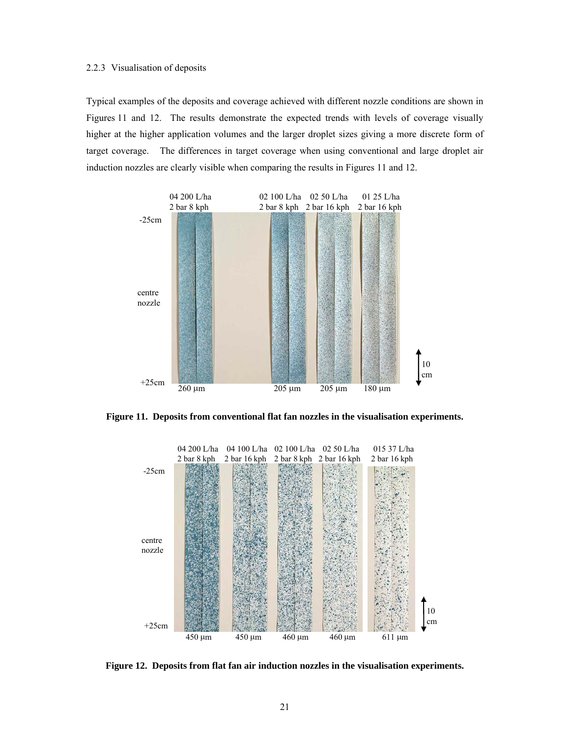#### 2.2.3 Visualisation of deposits

Typical examples of the deposits and coverage achieved with different nozzle conditions are shown in Figures 11 and 12. The results demonstrate the expected trends with levels of coverage visually higher at the higher application volumes and the larger droplet sizes giving a more discrete form of target coverage. The differences in target coverage when using conventional and large droplet air induction nozzles are clearly visible when comparing the results in Figures 11 and 12.



**Figure 11. Deposits from conventional flat fan nozzles in the visualisation experiments.** 



**Figure 12. Deposits from flat fan air induction nozzles in the visualisation experiments.**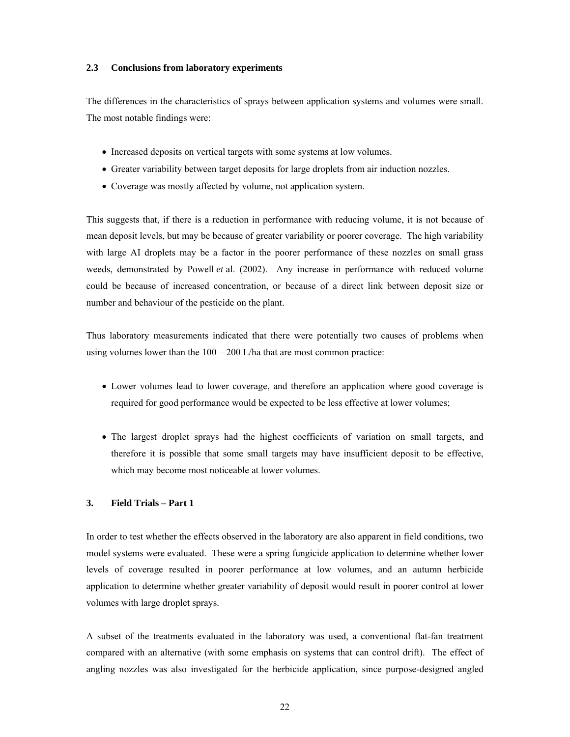#### **2.3 Conclusions from laboratory experiments**

The differences in the characteristics of sprays between application systems and volumes were small. The most notable findings were:

- Increased deposits on vertical targets with some systems at low volumes.
- Greater variability between target deposits for large droplets from air induction nozzles.
- Coverage was mostly affected by volume, not application system.

This suggests that, if there is a reduction in performance with reducing volume, it is not because of mean deposit levels, but may be because of greater variability or poorer coverage. The high variability with large AI droplets may be a factor in the poorer performance of these nozzles on small grass weeds, demonstrated by Powell *et* al. (2002). Any increase in performance with reduced volume could be because of increased concentration, or because of a direct link between deposit size or number and behaviour of the pesticide on the plant.

Thus laboratory measurements indicated that there were potentially two causes of problems when using volumes lower than the  $100 - 200$  L/ha that are most common practice:

- Lower volumes lead to lower coverage, and therefore an application where good coverage is required for good performance would be expected to be less effective at lower volumes;
- The largest droplet sprays had the highest coefficients of variation on small targets, and therefore it is possible that some small targets may have insufficient deposit to be effective, which may become most noticeable at lower volumes.

# **3. Field Trials – Part 1**

In order to test whether the effects observed in the laboratory are also apparent in field conditions, two model systems were evaluated. These were a spring fungicide application to determine whether lower levels of coverage resulted in poorer performance at low volumes, and an autumn herbicide application to determine whether greater variability of deposit would result in poorer control at lower volumes with large droplet sprays.

A subset of the treatments evaluated in the laboratory was used, a conventional flat-fan treatment compared with an alternative (with some emphasis on systems that can control drift). The effect of angling nozzles was also investigated for the herbicide application, since purpose-designed angled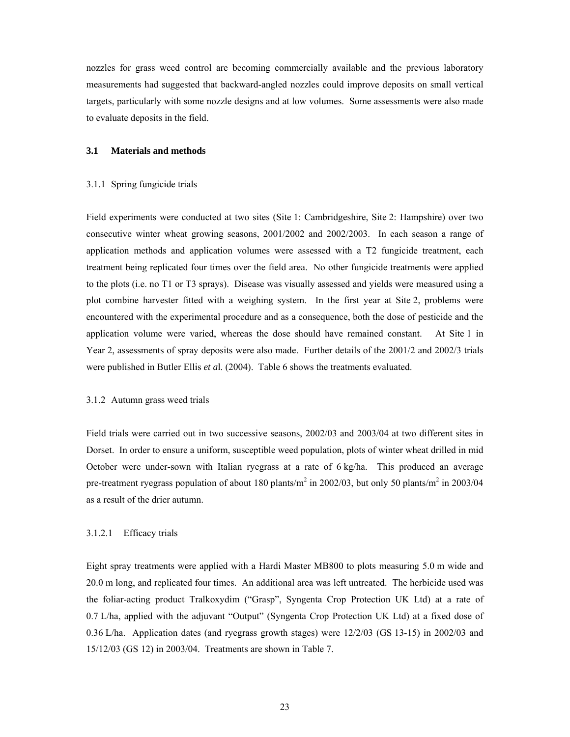nozzles for grass weed control are becoming commercially available and the previous laboratory measurements had suggested that backward-angled nozzles could improve deposits on small vertical targets, particularly with some nozzle designs and at low volumes. Some assessments were also made to evaluate deposits in the field.

# **3.1 Materials and methods**

#### 3.1.1 Spring fungicide trials

Field experiments were conducted at two sites (Site 1: Cambridgeshire, Site 2: Hampshire) over two consecutive winter wheat growing seasons, 2001/2002 and 2002/2003. In each season a range of application methods and application volumes were assessed with a T2 fungicide treatment, each treatment being replicated four times over the field area. No other fungicide treatments were applied to the plots (i.e. no T1 or T3 sprays). Disease was visually assessed and yields were measured using a plot combine harvester fitted with a weighing system. In the first year at Site 2, problems were encountered with the experimental procedure and as a consequence, both the dose of pesticide and the application volume were varied, whereas the dose should have remained constant. At Site 1 in Year 2, assessments of spray deposits were also made. Further details of the 2001/2 and 2002/3 trials were published in Butler Ellis *et a*l. (2004). Table 6 shows the treatments evaluated.

#### 3.1.2 Autumn grass weed trials

Field trials were carried out in two successive seasons, 2002/03 and 2003/04 at two different sites in Dorset. In order to ensure a uniform, susceptible weed population, plots of winter wheat drilled in mid October were under-sown with Italian ryegrass at a rate of 6 kg/ha. This produced an average pre-treatment ryegrass population of about 180 plants/ $m^2$  in 2002/03, but only 50 plants/ $m^2$  in 2003/04 as a result of the drier autumn.

#### 3.1.2.1 Efficacy trials

Eight spray treatments were applied with a Hardi Master MB800 to plots measuring 5.0 m wide and 20.0 m long, and replicated four times. An additional area was left untreated. The herbicide used was the foliar-acting product Tralkoxydim ("Grasp", Syngenta Crop Protection UK Ltd) at a rate of 0.7 L/ha, applied with the adjuvant "Output" (Syngenta Crop Protection UK Ltd) at a fixed dose of 0.36 L/ha. Application dates (and ryegrass growth stages) were 12/2/03 (GS 13-15) in 2002/03 and 15/12/03 (GS 12) in 2003/04. Treatments are shown in Table 7.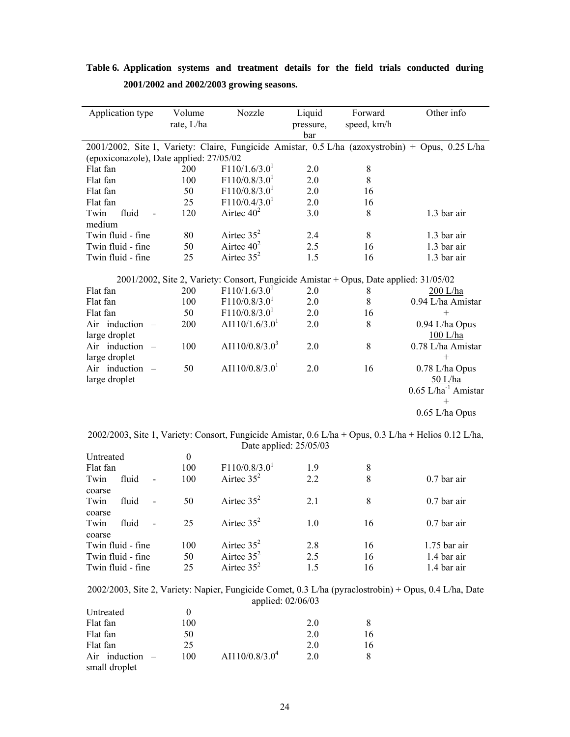|                                          |  | Table 6. Application systems and treatment details for the field trials conducted during |  |  |  |  |  |  |  |  |
|------------------------------------------|--|------------------------------------------------------------------------------------------|--|--|--|--|--|--|--|--|
| 2001/2002 and 2002/2003 growing seasons. |  |                                                                                          |  |  |  |  |  |  |  |  |
|                                          |  |                                                                                          |  |  |  |  |  |  |  |  |

 $\overline{\phantom{a}}$ 

| Application type                          | Volume     | Nozzle                                                                                | Liquid    | Forward     | Other info                                                                                       |
|-------------------------------------------|------------|---------------------------------------------------------------------------------------|-----------|-------------|--------------------------------------------------------------------------------------------------|
|                                           | rate, L/ha |                                                                                       | pressure, | speed, km/h |                                                                                                  |
|                                           |            |                                                                                       | bar       |             |                                                                                                  |
|                                           |            |                                                                                       |           |             | 2001/2002, Site 1, Variety: Claire, Fungicide Amistar, 0.5 L/ha (azoxystrobin) + Opus, 0.25 L/ha |
| (epoxiconazole), Date applied: 27/05/02   |            |                                                                                       |           |             |                                                                                                  |
| Flat fan                                  | 200        | F110/1.6/3.0 <sup>1</sup>                                                             | 2.0       | 8           |                                                                                                  |
| Flat fan                                  | 100        | F110/0.8/3.0 <sup>1</sup>                                                             | 2.0       | 8           |                                                                                                  |
| Flat fan                                  | 50         | F110/0.8/3.0 <sup>1</sup>                                                             | 2.0       | 16          |                                                                                                  |
| Flat fan                                  | 25         | $F110/0.4/3.0$ <sup>1</sup>                                                           | 2.0       | 16          |                                                                                                  |
| Twin<br>fluid                             | 120        | Airtec $40^2$                                                                         | 3.0       | 8           | 1.3 bar air                                                                                      |
| medium                                    |            |                                                                                       |           |             |                                                                                                  |
| Twin fluid - fine                         | 80         | Airtec $35^2$                                                                         | 2.4       | 8           | 1.3 bar air                                                                                      |
| Twin fluid - fine                         | 50         | Airtec $40^2$                                                                         | 2.5       | 16          | 1.3 bar air                                                                                      |
| Twin fluid - fine                         | 25         | Airtec $35^2$                                                                         | 1.5       | 16          | 1.3 bar air                                                                                      |
|                                           |            | 2001/2002, Site 2, Variety: Consort, Fungicide Amistar + Opus, Date applied: 31/05/02 |           |             |                                                                                                  |
| Flat fan                                  | 200        | F110/1.6/3.0 <sup>1</sup>                                                             | 2.0       | 8           | $200$ L/ha                                                                                       |
| Flat fan                                  | 100        | F110/0.8/3.0 <sup>1</sup>                                                             | 2.0       | 8           | 0.94 L/ha Amistar                                                                                |
| Flat fan                                  | 50         | F110/0.8/3.0 <sup>1</sup>                                                             | 2.0       | 16          | $+$                                                                                              |
| Air induction<br>$\overline{\phantom{a}}$ | 200        | AI110/1.6/3.0 <sup>1</sup>                                                            | 2.0       | 8           | 0.94 L/ha Opus                                                                                   |
| large droplet                             |            |                                                                                       |           |             | $100$ L/ha                                                                                       |
| Air induction<br>$\overline{\phantom{a}}$ | 100        | AI110/0.8/3.0 <sup>3</sup>                                                            | 2.0       | 8           | 0.78 L/ha Amistar                                                                                |
| large droplet                             |            |                                                                                       |           |             | $+$                                                                                              |
| Air induction $-$                         | 50         | AI110/0.8/3.0 <sup>1</sup>                                                            | 2.0       | 16          | 0.78 L/ha Opus                                                                                   |
| large droplet                             |            |                                                                                       |           |             | 50 L/ha                                                                                          |
|                                           |            |                                                                                       |           |             | $0.65$ L/ha <sup>-1</sup> Amistar                                                                |
|                                           |            |                                                                                       |           |             | $^+$                                                                                             |
|                                           |            |                                                                                       |           |             | $0.65$ L/ha Opus                                                                                 |
|                                           |            |                                                                                       |           |             |                                                                                                  |

2002/2003, Site 1, Variety: Consort, Fungicide Amistar, 0.6 L/ha + Opus, 0.3 L/ha + Helios 0.12 L/ha, Date applied: 25/05/03

| Untreated         | $\theta$ |                           |     |    |                |
|-------------------|----------|---------------------------|-----|----|----------------|
| Flat fan          | 100      | F110/0.8/3.0 <sup>1</sup> | 1.9 | 8  |                |
| Twin<br>fluid     | 100      | Airtee $35^2$             | 2.2 | 8  | $0.7$ bar air  |
| coarse            |          |                           |     |    |                |
| Twin<br>fluid     | 50       | Airtec $35^2$             | 2.1 | 8  | $0.7$ bar air  |
| coarse            |          |                           |     |    |                |
| Twin<br>fluid     | 25       | Airtec $35^2$             | 1.0 | 16 | $0.7$ bar air  |
| coarse            |          |                           |     |    |                |
| Twin fluid - fine | 100      | Airtee $35^2$             | 2.8 | 16 | $1.75$ bar air |
| Twin fluid - fine | 50       | Airtee $35^2$             | 2.5 | 16 | 1.4 bar air    |
| Twin fluid - fine | 25       | Airtee $35^2$             | 1.5 | 16 | 1.4 bar air    |
|                   |          |                           |     |    |                |

2002/2003, Site 2, Variety: Napier, Fungicide Comet, 0.3 L/ha (pyraclostrobin) + Opus, 0.4 L/ha, Date applied: 02/06/03

| Untreated         |     |                            |     |    |
|-------------------|-----|----------------------------|-----|----|
| Flat fan          | 100 |                            | 2.0 |    |
| Flat fan          | 50  |                            | 2.0 | 16 |
| Flat fan          | 25  |                            | 2.0 | 16 |
| Air induction $-$ | 100 | AI110/0.8/3.0 <sup>4</sup> | 2.0 |    |
| small droplet     |     |                            |     |    |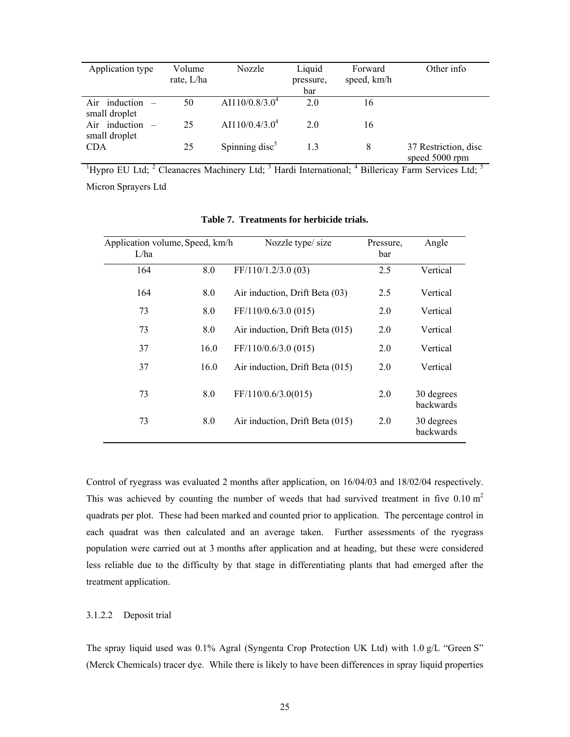| Application type                   | Volume<br>rate, L/ha | Nozzle                     | Liquid<br>pressure,<br>bar | Forward<br>speed, km/h | Other info                                                                                                                                                  |
|------------------------------------|----------------------|----------------------------|----------------------------|------------------------|-------------------------------------------------------------------------------------------------------------------------------------------------------------|
| Air induction $-$<br>small droplet | 50                   | AI110/0.8/3.0 <sup>4</sup> | 2.0                        | 16                     |                                                                                                                                                             |
| Air induction -<br>small droplet   | 25                   | AI110/0.4/3.0 <sup>4</sup> | 20                         | 16                     |                                                                                                                                                             |
| <b>CDA</b>                         | 25                   | Spinning disc $5$          | 13                         | 8                      | 37 Restriction, disc<br>speed 5000 rpm                                                                                                                      |
|                                    |                      |                            |                            |                        | <sup>1</sup> Hypro EU Ltd; <sup>2</sup> Cleanacres Machinery Ltd; <sup>3</sup> Hardi International; <sup>4</sup> Billericay Farm Services Ltd; <sup>5</sup> |

Micron Sprayers Ltd

| Application volume, Speed, km/h<br>L/ha |      | Nozzle type/size                | Pressure,<br>bar | Angle                   |
|-----------------------------------------|------|---------------------------------|------------------|-------------------------|
| 164                                     | 8.0  | FF/110/1.2/3.0 (03)             | 2.5              | Vertical                |
| 164                                     | 8.0  | Air induction, Drift Beta (03)  | 2.5              | Vertical                |
| 73                                      | 8.0  | FF/110/0.6/3.0 (015)            | 2.0              | Vertical                |
| 73                                      | 8.0  | Air induction, Drift Beta (015) | 2.0              | Vertical                |
| 37                                      | 16.0 | FF/110/0.6/3.0 (015)            | 2.0              | Vertical                |
| 37                                      | 16.0 | Air induction, Drift Beta (015) | 2.0              | Vertical                |
| 73                                      | 8.0  | FF/110/0.6/3.0(015)             | 2.0              | 30 degrees<br>backwards |
| 73                                      | 8.0  | Air induction, Drift Beta (015) | 2.0              | 30 degrees<br>backwards |

**Table 7. Treatments for herbicide trials.** 

Control of ryegrass was evaluated 2 months after application, on 16/04/03 and 18/02/04 respectively. This was achieved by counting the number of weeds that had survived treatment in five  $0.10 \text{ m}^2$ quadrats per plot. These had been marked and counted prior to application. The percentage control in each quadrat was then calculated and an average taken. Further assessments of the ryegrass population were carried out at 3 months after application and at heading, but these were considered less reliable due to the difficulty by that stage in differentiating plants that had emerged after the treatment application.

# 3.1.2.2 Deposit trial

The spray liquid used was 0.1% Agral (Syngenta Crop Protection UK Ltd) with 1.0 g/L "Green S" (Merck Chemicals) tracer dye. While there is likely to have been differences in spray liquid properties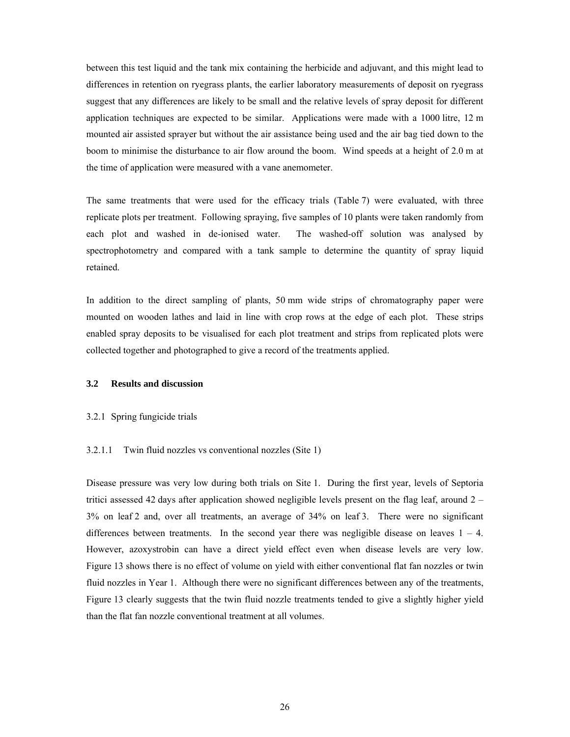between this test liquid and the tank mix containing the herbicide and adjuvant, and this might lead to differences in retention on ryegrass plants, the earlier laboratory measurements of deposit on ryegrass suggest that any differences are likely to be small and the relative levels of spray deposit for different application techniques are expected to be similar. Applications were made with a 1000 litre, 12 m mounted air assisted sprayer but without the air assistance being used and the air bag tied down to the boom to minimise the disturbance to air flow around the boom. Wind speeds at a height of 2.0 m at the time of application were measured with a vane anemometer.

The same treatments that were used for the efficacy trials (Table 7) were evaluated, with three replicate plots per treatment. Following spraying, five samples of 10 plants were taken randomly from each plot and washed in de-ionised water. The washed-off solution was analysed by spectrophotometry and compared with a tank sample to determine the quantity of spray liquid retained.

In addition to the direct sampling of plants, 50 mm wide strips of chromatography paper were mounted on wooden lathes and laid in line with crop rows at the edge of each plot. These strips enabled spray deposits to be visualised for each plot treatment and strips from replicated plots were collected together and photographed to give a record of the treatments applied.

# **3.2 Results and discussion**

#### 3.2.1 Spring fungicide trials

### 3.2.1.1 Twin fluid nozzles vs conventional nozzles (Site 1)

Disease pressure was very low during both trials on Site 1. During the first year, levels of Septoria tritici assessed 42 days after application showed negligible levels present on the flag leaf, around 2 – 3% on leaf 2 and, over all treatments, an average of 34% on leaf 3. There were no significant differences between treatments. In the second year there was negligible disease on leaves  $1 - 4$ . However, azoxystrobin can have a direct yield effect even when disease levels are very low. Figure 13 shows there is no effect of volume on yield with either conventional flat fan nozzles or twin fluid nozzles in Year 1. Although there were no significant differences between any of the treatments, Figure 13 clearly suggests that the twin fluid nozzle treatments tended to give a slightly higher yield than the flat fan nozzle conventional treatment at all volumes.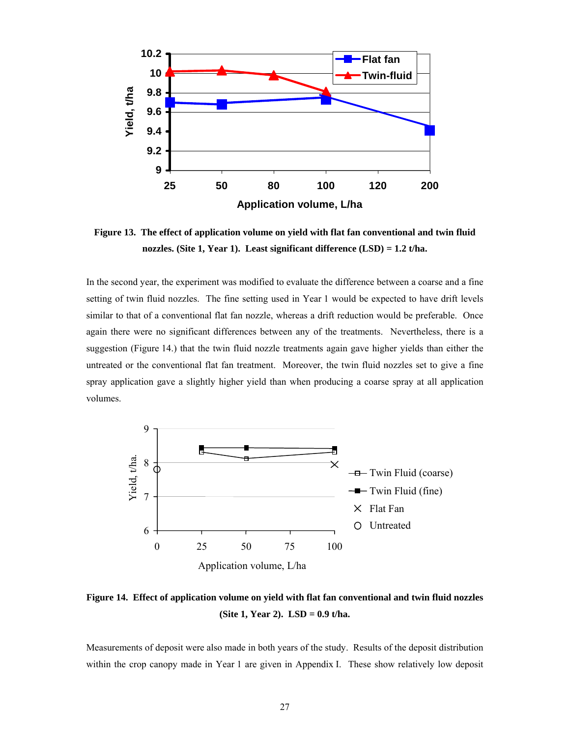

**Figure 13. The effect of application volume on yield with flat fan conventional and twin fluid nozzles. (Site 1, Year 1). Least significant difference (LSD) = 1.2 t/ha.** 

In the second year, the experiment was modified to evaluate the difference between a coarse and a fine setting of twin fluid nozzles. The fine setting used in Year 1 would be expected to have drift levels similar to that of a conventional flat fan nozzle, whereas a drift reduction would be preferable. Once again there were no significant differences between any of the treatments. Nevertheless, there is a suggestion (Figure 14.) that the twin fluid nozzle treatments again gave higher yields than either the untreated or the conventional flat fan treatment. Moreover, the twin fluid nozzles set to give a fine spray application gave a slightly higher yield than when producing a coarse spray at all application volumes.



**Figure 14. Effect of application volume on yield with flat fan conventional and twin fluid nozzles (Site 1, Year 2). LSD = 0.9 t/ha.** 

Measurements of deposit were also made in both years of the study. Results of the deposit distribution within the crop canopy made in Year 1 are given in Appendix I. These show relatively low deposit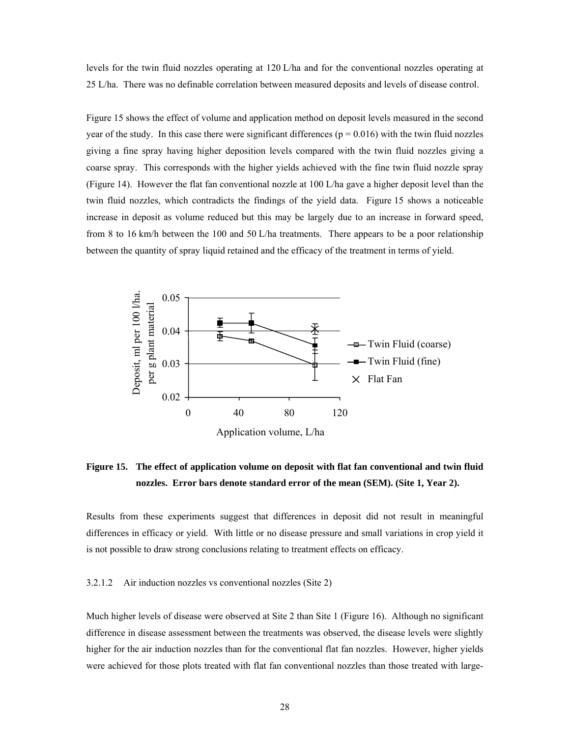levels for the twin fluid nozzles operating at 120 L/ha and for the conventional nozzles operating at 25 L/ha. There was no definable correlation between measured deposits and levels of disease control.

Figure 15 shows the effect of volume and application method on deposit levels measured in the second year of the study. In this case there were significant differences ( $p = 0.016$ ) with the twin fluid nozzles giving a fine spray having higher deposition levels compared with the twin fluid nozzles giving a coarse spray. This corresponds with the higher yields achieved with the fine twin fluid nozzle spray (Figure 14). However the flat fan conventional nozzle at 100 L/ha gave a higher deposit level than the twin fluid nozzles, which contradicts the findings of the yield data. Figure 15 shows a noticeable increase in deposit as volume reduced but this may be largely due to an increase in forward speed, from 8 to 16 km/h between the 100 and 50 L/ha treatments. There appears to be a poor relationship between the quantity of spray liquid retained and the efficacy of the treatment in terms of yield.



**Figure 15. The effect of application volume on deposit with flat fan conventional and twin fluid nozzles. Error bars denote standard error of the mean (SEM). (Site 1, Year 2).** 

Results from these experiments suggest that differences in deposit did not result in meaningful differences in efficacy or yield. With little or no disease pressure and small variations in crop yield it is not possible to draw strong conclusions relating to treatment effects on efficacy.

# 3.2.1.2 Air induction nozzles vs conventional nozzles (Site 2)

Much higher levels of disease were observed at Site 2 than Site 1 (Figure 16). Although no significant difference in disease assessment between the treatments was observed, the disease levels were slightly higher for the air induction nozzles than for the conventional flat fan nozzles. However, higher yields were achieved for those plots treated with flat fan conventional nozzles than those treated with large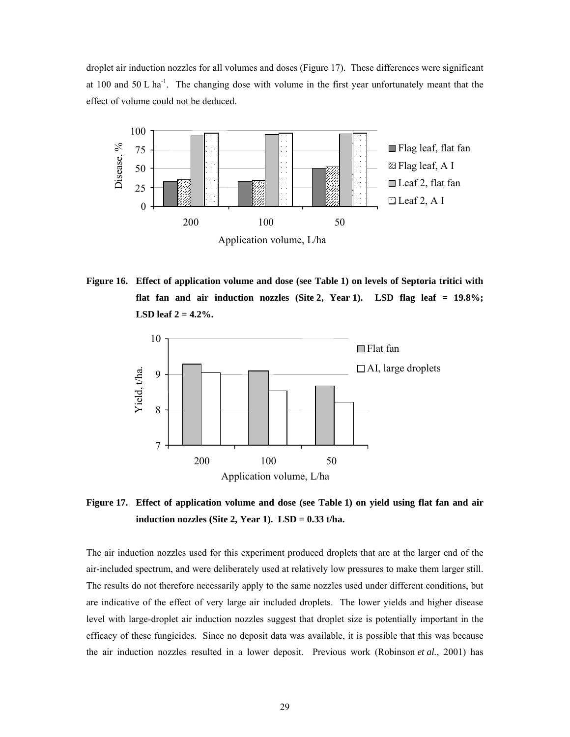droplet air induction nozzles for all volumes and doses (Figure 17). These differences were significant at 100 and 50 L ha-1. The changing dose with volume in the first year unfortunately meant that the effect of volume could not be deduced.



**Figure 16. Effect of application volume and dose (see Table 1) on levels of Septoria tritici with flat fan and air induction nozzles (Site 2, Year 1). LSD flag leaf = 19.8%; LSD leaf 2 = 4.2%.** 



**Figure 17. Effect of application volume and dose (see Table 1) on yield using flat fan and air induction nozzles (Site 2, Year 1). LSD = 0.33 t/ha.** 

The air induction nozzles used for this experiment produced droplets that are at the larger end of the air-included spectrum, and were deliberately used at relatively low pressures to make them larger still. The results do not therefore necessarily apply to the same nozzles used under different conditions, but are indicative of the effect of very large air included droplets. The lower yields and higher disease level with large-droplet air induction nozzles suggest that droplet size is potentially important in the efficacy of these fungicides. Since no deposit data was available, it is possible that this was because the air induction nozzles resulted in a lower deposit. Previous work (Robinson *et al.*, 2001) has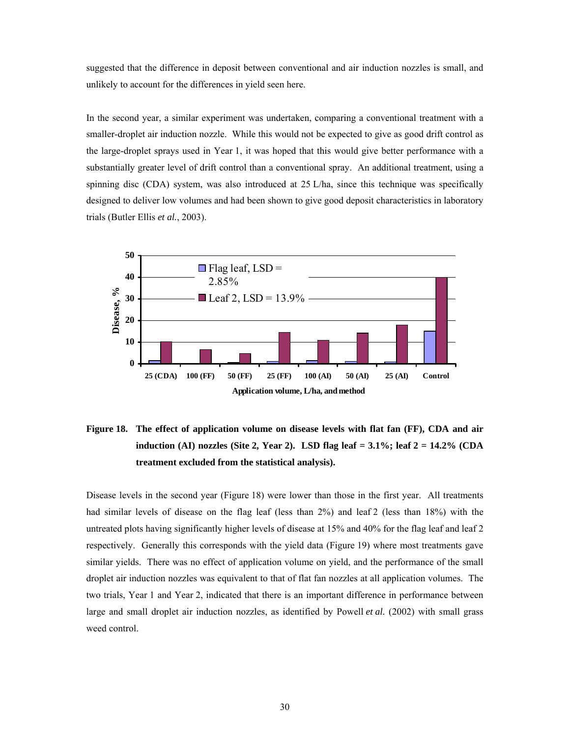suggested that the difference in deposit between conventional and air induction nozzles is small, and unlikely to account for the differences in yield seen here.

In the second year, a similar experiment was undertaken, comparing a conventional treatment with a smaller-droplet air induction nozzle. While this would not be expected to give as good drift control as the large-droplet sprays used in Year 1, it was hoped that this would give better performance with a substantially greater level of drift control than a conventional spray. An additional treatment, using a spinning disc (CDA) system, was also introduced at 25 L/ha, since this technique was specifically designed to deliver low volumes and had been shown to give good deposit characteristics in laboratory trials (Butler Ellis *et al.*, 2003).



# **Figure 18. The effect of application volume on disease levels with flat fan (FF), CDA and air induction (AI) nozzles (Site 2, Year 2). LSD flag leaf = 3.1%; leaf 2 = 14.2% (CDA treatment excluded from the statistical analysis).**

Disease levels in the second year (Figure 18) were lower than those in the first year. All treatments had similar levels of disease on the flag leaf (less than 2%) and leaf 2 (less than 18%) with the untreated plots having significantly higher levels of disease at 15% and 40% for the flag leaf and leaf 2 respectively. Generally this corresponds with the yield data (Figure 19) where most treatments gave similar yields. There was no effect of application volume on yield, and the performance of the small droplet air induction nozzles was equivalent to that of flat fan nozzles at all application volumes. The two trials, Year 1 and Year 2, indicated that there is an important difference in performance between large and small droplet air induction nozzles, as identified by Powell *et al.* (2002) with small grass weed control.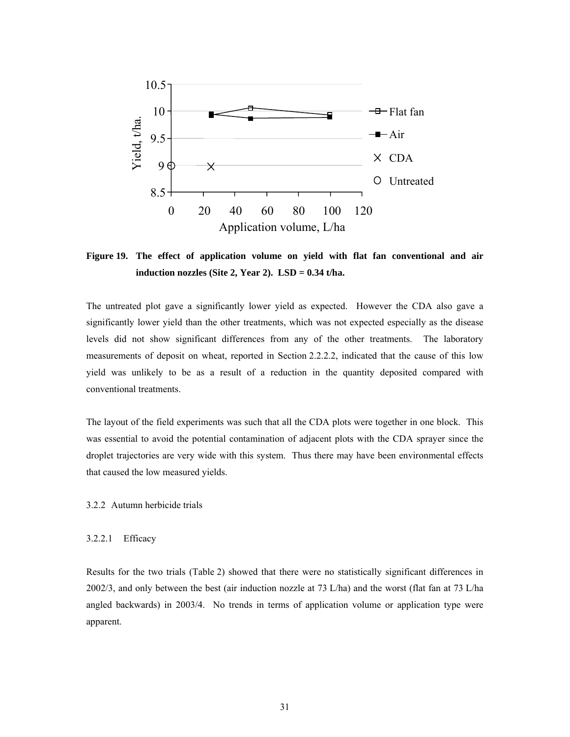

**Figure 19. The effect of application volume on yield with flat fan conventional and air induction nozzles (Site 2, Year 2). LSD = 0.34 t/ha.** 

The untreated plot gave a significantly lower yield as expected. However the CDA also gave a significantly lower yield than the other treatments, which was not expected especially as the disease levels did not show significant differences from any of the other treatments. The laboratory measurements of deposit on wheat, reported in Section 2.2.2.2, indicated that the cause of this low yield was unlikely to be as a result of a reduction in the quantity deposited compared with conventional treatments.

The layout of the field experiments was such that all the CDA plots were together in one block. This was essential to avoid the potential contamination of adjacent plots with the CDA sprayer since the droplet trajectories are very wide with this system. Thus there may have been environmental effects that caused the low measured yields.

3.2.2 Autumn herbicide trials

#### 3.2.2.1 Efficacy

Results for the two trials (Table 2) showed that there were no statistically significant differences in 2002/3, and only between the best (air induction nozzle at 73 L/ha) and the worst (flat fan at 73 L/ha angled backwards) in 2003/4. No trends in terms of application volume or application type were apparent.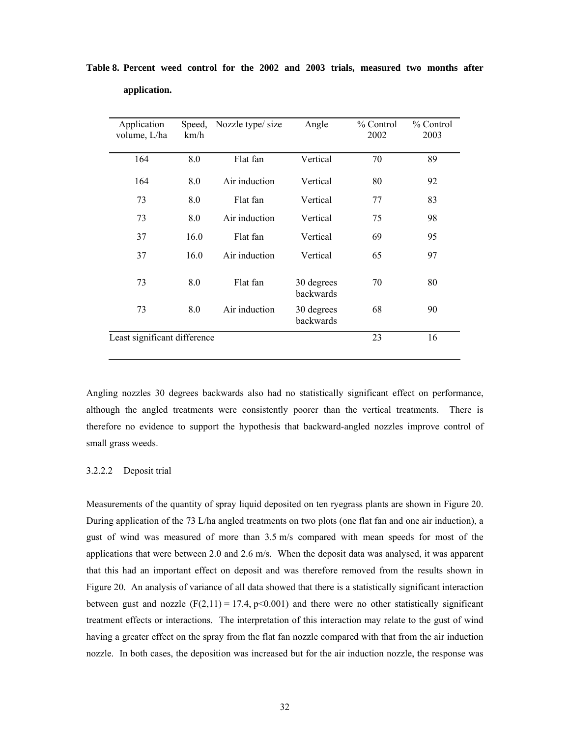| Application<br>volume, L/ha  | Speed,<br>km/h | Nozzle type/size | Angle                   | % Control<br>2002 | % Control<br>2003 |
|------------------------------|----------------|------------------|-------------------------|-------------------|-------------------|
| 164                          | 8.0            | Flat fan         | Vertical                | 70                | 89                |
| 164                          | 8.0            | Air induction    | Vertical                | 80                | 92                |
| 73                           | 8.0            | Flat fan         | Vertical                | 77                | 83                |
| 73                           | 8.0            | Air induction    | Vertical                | 75                | 98                |
| 37                           | 16.0           | Flat fan         | Vertical                | 69                | 95                |
| 37                           | 16.0           | Air induction    | Vertical                | 65                | 97                |
| 73                           | 8.0            | Flat fan         | 30 degrees<br>backwards | 70                | 80                |
| 73                           | 8.0            | Air induction    | 30 degrees<br>backwards | 68                | 90                |
| Least significant difference |                |                  |                         | 23                | 16                |

# **Table 8. Percent weed control for the 2002 and 2003 trials, measured two months after application.**

Angling nozzles 30 degrees backwards also had no statistically significant effect on performance, although the angled treatments were consistently poorer than the vertical treatments. There is therefore no evidence to support the hypothesis that backward-angled nozzles improve control of small grass weeds.

# 3.2.2.2 Deposit trial

Measurements of the quantity of spray liquid deposited on ten ryegrass plants are shown in Figure 20. During application of the 73 L/ha angled treatments on two plots (one flat fan and one air induction), a gust of wind was measured of more than 3.5 m/s compared with mean speeds for most of the applications that were between 2.0 and 2.6 m/s. When the deposit data was analysed, it was apparent that this had an important effect on deposit and was therefore removed from the results shown in Figure 20. An analysis of variance of all data showed that there is a statistically significant interaction between gust and nozzle  $(F(2,11) = 17.4, p<0.001)$  and there were no other statistically significant treatment effects or interactions. The interpretation of this interaction may relate to the gust of wind having a greater effect on the spray from the flat fan nozzle compared with that from the air induction nozzle. In both cases, the deposition was increased but for the air induction nozzle, the response was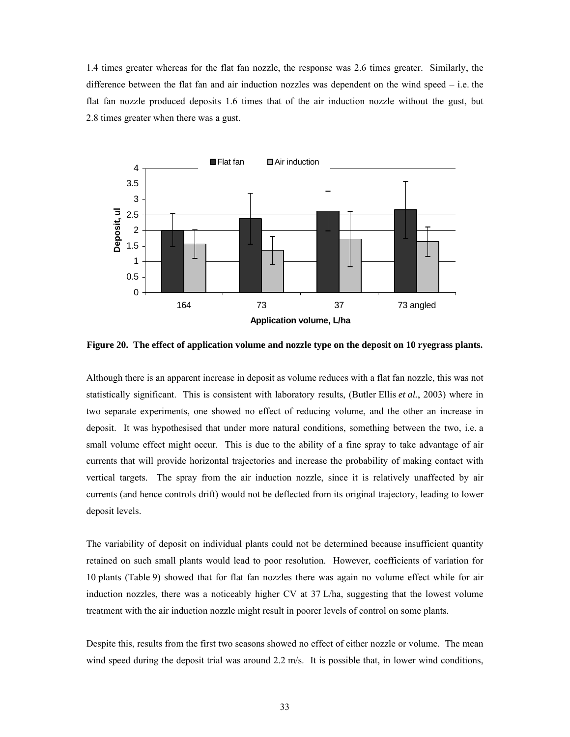1.4 times greater whereas for the flat fan nozzle, the response was 2.6 times greater. Similarly, the difference between the flat fan and air induction nozzles was dependent on the wind speed – i.e. the flat fan nozzle produced deposits 1.6 times that of the air induction nozzle without the gust, but 2.8 times greater when there was a gust.



**Figure 20. The effect of application volume and nozzle type on the deposit on 10 ryegrass plants.** 

Although there is an apparent increase in deposit as volume reduces with a flat fan nozzle, this was not statistically significant. This is consistent with laboratory results, (Butler Ellis *et al.*, 2003) where in two separate experiments, one showed no effect of reducing volume, and the other an increase in deposit. It was hypothesised that under more natural conditions, something between the two, i.e. a small volume effect might occur. This is due to the ability of a fine spray to take advantage of air currents that will provide horizontal trajectories and increase the probability of making contact with vertical targets. The spray from the air induction nozzle, since it is relatively unaffected by air currents (and hence controls drift) would not be deflected from its original trajectory, leading to lower deposit levels.

The variability of deposit on individual plants could not be determined because insufficient quantity retained on such small plants would lead to poor resolution. However, coefficients of variation for 10 plants (Table 9) showed that for flat fan nozzles there was again no volume effect while for air induction nozzles, there was a noticeably higher CV at 37 L/ha, suggesting that the lowest volume treatment with the air induction nozzle might result in poorer levels of control on some plants.

Despite this, results from the first two seasons showed no effect of either nozzle or volume. The mean wind speed during the deposit trial was around 2.2 m/s. It is possible that, in lower wind conditions,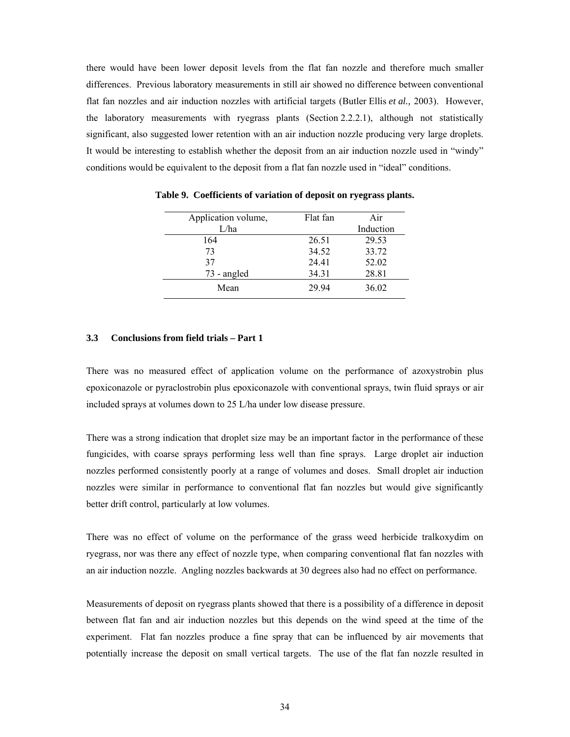there would have been lower deposit levels from the flat fan nozzle and therefore much smaller differences. Previous laboratory measurements in still air showed no difference between conventional flat fan nozzles and air induction nozzles with artificial targets (Butler Ellis *et al.,* 2003). However, the laboratory measurements with ryegrass plants (Section 2.2.2.1), although not statistically significant, also suggested lower retention with an air induction nozzle producing very large droplets. It would be interesting to establish whether the deposit from an air induction nozzle used in "windy" conditions would be equivalent to the deposit from a flat fan nozzle used in "ideal" conditions.

| Application volume, | Flat fan | Air       |
|---------------------|----------|-----------|
| L/ha                |          | Induction |
| 164                 | 26.51    | 29.53     |
| 73                  | 34.52    | 33.72     |
| 37                  | 24.41    | 52.02     |
| 73 - angled         | 34.31    | 28.81     |
| Mean                | 29 94    | 36.02     |

**Table 9. Coefficients of variation of deposit on ryegrass plants.** 

# **3.3 Conclusions from field trials – Part 1**

There was no measured effect of application volume on the performance of azoxystrobin plus epoxiconazole or pyraclostrobin plus epoxiconazole with conventional sprays, twin fluid sprays or air included sprays at volumes down to 25 L/ha under low disease pressure.

There was a strong indication that droplet size may be an important factor in the performance of these fungicides, with coarse sprays performing less well than fine sprays. Large droplet air induction nozzles performed consistently poorly at a range of volumes and doses. Small droplet air induction nozzles were similar in performance to conventional flat fan nozzles but would give significantly better drift control, particularly at low volumes.

There was no effect of volume on the performance of the grass weed herbicide tralkoxydim on ryegrass, nor was there any effect of nozzle type, when comparing conventional flat fan nozzles with an air induction nozzle. Angling nozzles backwards at 30 degrees also had no effect on performance.

Measurements of deposit on ryegrass plants showed that there is a possibility of a difference in deposit between flat fan and air induction nozzles but this depends on the wind speed at the time of the experiment. Flat fan nozzles produce a fine spray that can be influenced by air movements that potentially increase the deposit on small vertical targets. The use of the flat fan nozzle resulted in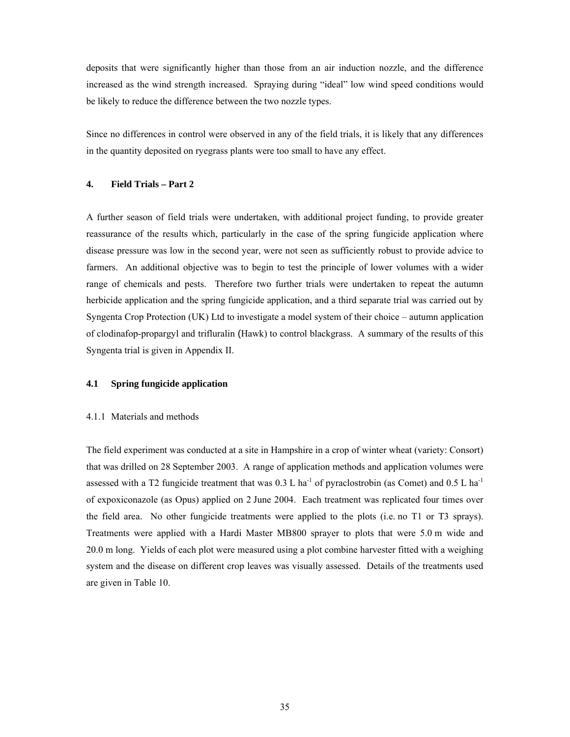deposits that were significantly higher than those from an air induction nozzle, and the difference increased as the wind strength increased. Spraying during "ideal" low wind speed conditions would be likely to reduce the difference between the two nozzle types.

Since no differences in control were observed in any of the field trials, it is likely that any differences in the quantity deposited on ryegrass plants were too small to have any effect.

# **4. Field Trials – Part 2**

A further season of field trials were undertaken, with additional project funding, to provide greater reassurance of the results which, particularly in the case of the spring fungicide application where disease pressure was low in the second year, were not seen as sufficiently robust to provide advice to farmers. An additional objective was to begin to test the principle of lower volumes with a wider range of chemicals and pests. Therefore two further trials were undertaken to repeat the autumn herbicide application and the spring fungicide application, and a third separate trial was carried out by Syngenta Crop Protection (UK) Ltd to investigate a model system of their choice – autumn application of clodinafop-propargyl and trifluralin (Hawk) to control blackgrass. A summary of the results of this Syngenta trial is given in Appendix II.

# **4.1 Spring fungicide application**

#### 4.1.1 Materials and methods

The field experiment was conducted at a site in Hampshire in a crop of winter wheat (variety: Consort) that was drilled on 28 September 2003. A range of application methods and application volumes were assessed with a T2 fungicide treatment that was  $0.3 \text{ L}$  ha<sup>-1</sup> of pyraclostrobin (as Comet) and  $0.5 \text{ L}$  ha<sup>-1</sup> of expoxiconazole (as Opus) applied on 2 June 2004. Each treatment was replicated four times over the field area. No other fungicide treatments were applied to the plots (i.e. no T1 or T3 sprays). Treatments were applied with a Hardi Master MB800 sprayer to plots that were 5.0 m wide and 20.0 m long. Yields of each plot were measured using a plot combine harvester fitted with a weighing system and the disease on different crop leaves was visually assessed. Details of the treatments used are given in Table 10.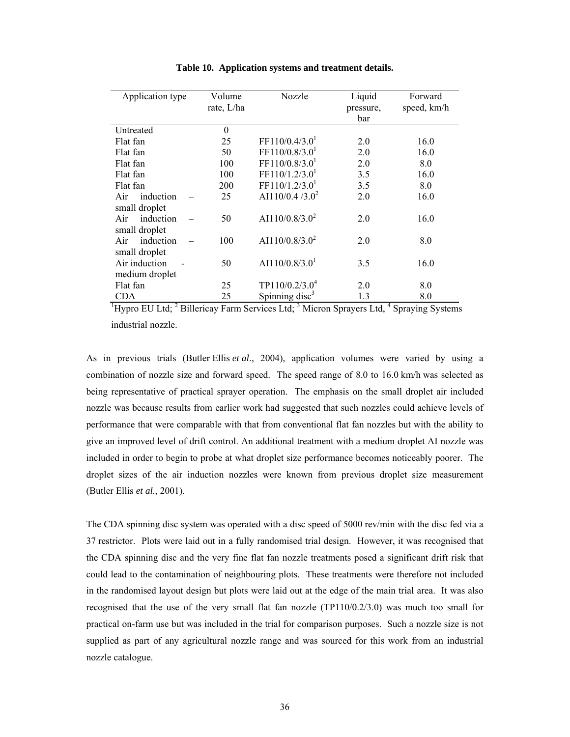| Application type                                                                                                                      | Volume<br>rate, L/ha | Nozzle                     | Liquid<br>pressure,<br>bar | Forward<br>speed, km/h |
|---------------------------------------------------------------------------------------------------------------------------------------|----------------------|----------------------------|----------------------------|------------------------|
| Untreated                                                                                                                             | $\boldsymbol{0}$     |                            |                            |                        |
| Flat fan                                                                                                                              | 25                   | FF110/0.4/3.0 <sup>1</sup> | 2.0                        | 16.0                   |
| Flat fan                                                                                                                              | 50                   | FF110/0.8/3.0 <sup>1</sup> | 2.0                        | 16.0                   |
| Flat fan                                                                                                                              | 100                  | FF110/0.8/3.0 <sup>1</sup> | 2.0                        | 8.0                    |
| Flat fan                                                                                                                              | 100                  | FF110/1.2/3.0 <sup>1</sup> | 3.5                        | 16.0                   |
| Flat fan                                                                                                                              | 200                  | FF110/1.2/3.0 <sup>1</sup> | 3.5                        | 8.0                    |
| induction<br>Air                                                                                                                      | 25                   | AI110/0.4 $/3.0^2$         | 2.0                        | 16.0                   |
| small droplet                                                                                                                         |                      |                            |                            |                        |
| induction<br>Air                                                                                                                      | 50                   | AI110/0.8/3.0 <sup>2</sup> | 2.0                        | 16.0                   |
| small droplet                                                                                                                         |                      |                            |                            |                        |
| Air<br>induction                                                                                                                      | 100                  | AI110/0.8/3.0 <sup>2</sup> | 2.0                        | 8.0                    |
| small droplet                                                                                                                         |                      |                            |                            |                        |
| Air induction                                                                                                                         | 50                   | AI110/0.8/3.0 <sup>1</sup> | 3.5                        | 16.0                   |
| medium droplet                                                                                                                        |                      |                            |                            |                        |
| Flat fan                                                                                                                              | 25                   | TP110/0.2/3.0 <sup>4</sup> | 2.0                        | 8.0                    |
| <b>CDA</b>                                                                                                                            | 25                   | Spinning disc <sup>3</sup> | 1.3                        | 8.0                    |
| <sup>1</sup> Hypro EU Ltd; <sup>2</sup> Billericay Farm Services Ltd; <sup>3</sup> Micron Sprayers Ltd, <sup>4</sup> Spraying Systems |                      |                            |                            |                        |

**Table 10. Application systems and treatment details.** 

industrial nozzle.

As in previous trials (Butler Ellis *et al*., 2004), application volumes were varied by using a combination of nozzle size and forward speed. The speed range of 8.0 to 16.0 km/h was selected as being representative of practical sprayer operation. The emphasis on the small droplet air included nozzle was because results from earlier work had suggested that such nozzles could achieve levels of performance that were comparable with that from conventional flat fan nozzles but with the ability to give an improved level of drift control. An additional treatment with a medium droplet AI nozzle was included in order to begin to probe at what droplet size performance becomes noticeably poorer. The droplet sizes of the air induction nozzles were known from previous droplet size measurement (Butler Ellis *et al.*, 2001).

The CDA spinning disc system was operated with a disc speed of 5000 rev/min with the disc fed via a 37 restrictor. Plots were laid out in a fully randomised trial design. However, it was recognised that the CDA spinning disc and the very fine flat fan nozzle treatments posed a significant drift risk that could lead to the contamination of neighbouring plots. These treatments were therefore not included in the randomised layout design but plots were laid out at the edge of the main trial area. It was also recognised that the use of the very small flat fan nozzle (TP110/0.2/3.0) was much too small for practical on-farm use but was included in the trial for comparison purposes. Such a nozzle size is not supplied as part of any agricultural nozzle range and was sourced for this work from an industrial nozzle catalogue.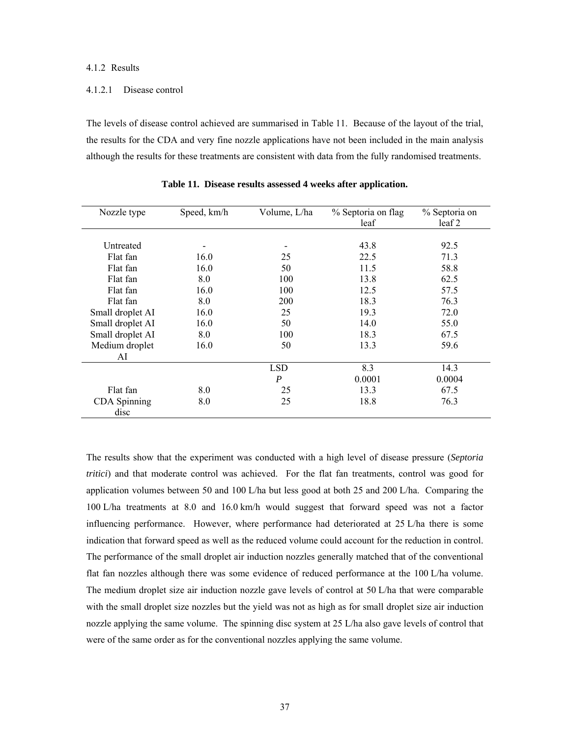### 4.1.2 Results

### 4.1.2.1 Disease control

The levels of disease control achieved are summarised in Table 11. Because of the layout of the trial, the results for the CDA and very fine nozzle applications have not been included in the main analysis although the results for these treatments are consistent with data from the fully randomised treatments.

| Nozzle type                 | Speed, km/h | Volume, L/ha | % Septoria on flag<br>leaf | % Septoria on<br>leaf 2 |
|-----------------------------|-------------|--------------|----------------------------|-------------------------|
|                             |             |              |                            |                         |
| Untreated                   |             |              | 43.8                       | 92.5                    |
| Flat fan                    | 16.0        | 25           | 22.5                       | 71.3                    |
| Flat fan                    | 16.0        | 50           | 11.5                       | 58.8                    |
| Flat fan                    | 8.0         | 100          | 13.8                       | 62.5                    |
| Flat fan                    | 16.0        | 100          | 12.5                       | 57.5                    |
| Flat fan                    | 8.0         | <b>200</b>   | 18.3                       | 76.3                    |
| Small droplet AI            | 16.0        | 25           | 19.3                       | 72.0                    |
| Small droplet AI            | 16.0        | 50           | 14.0                       | 55.0                    |
| Small droplet AI            | 8.0         | 100          | 18.3                       | 67.5                    |
| Medium droplet              | 16.0        | 50           | 13.3                       | 59.6                    |
| AI                          |             |              |                            |                         |
|                             |             | <b>LSD</b>   | 8.3                        | 14.3                    |
|                             |             | P            | 0.0001                     | 0.0004                  |
| Flat fan                    | 8.0         | 25           | 13.3                       | 67.5                    |
| <b>CDA</b> Spinning<br>disc | 8.0         | 25           | 18.8                       | 76.3                    |

**Table 11. Disease results assessed 4 weeks after application.** 

The results show that the experiment was conducted with a high level of disease pressure (*Septoria tritici*) and that moderate control was achieved. For the flat fan treatments, control was good for application volumes between 50 and 100 L/ha but less good at both 25 and 200 L/ha. Comparing the 100 L/ha treatments at 8.0 and 16.0 km/h would suggest that forward speed was not a factor influencing performance. However, where performance had deteriorated at 25 L/ha there is some indication that forward speed as well as the reduced volume could account for the reduction in control. The performance of the small droplet air induction nozzles generally matched that of the conventional flat fan nozzles although there was some evidence of reduced performance at the 100 L/ha volume. The medium droplet size air induction nozzle gave levels of control at 50 L/ha that were comparable with the small droplet size nozzles but the yield was not as high as for small droplet size air induction nozzle applying the same volume. The spinning disc system at 25 L/ha also gave levels of control that were of the same order as for the conventional nozzles applying the same volume.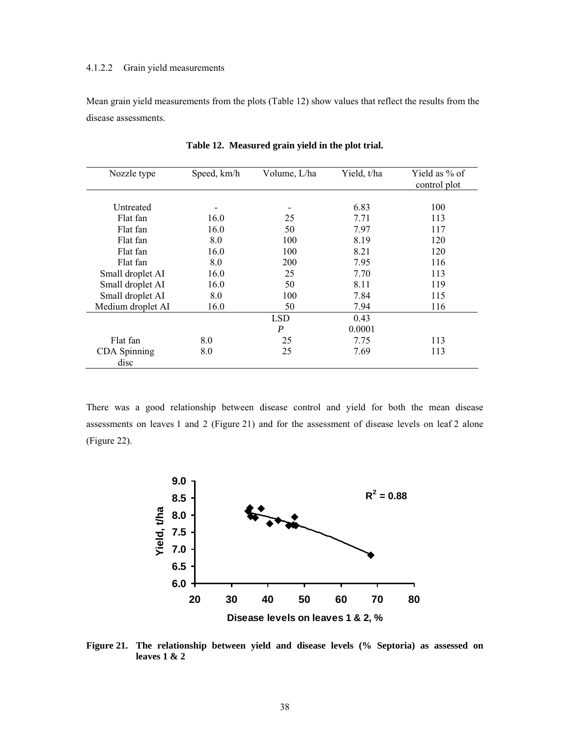### 4.1.2.2 Grain yield measurements

Mean grain yield measurements from the plots (Table 12) show values that reflect the results from the disease assessments.

| Nozzle type          | Speed, km/h | Volume, L/ha | Yield, t/ha | Yield as % of<br>control plot |
|----------------------|-------------|--------------|-------------|-------------------------------|
|                      |             |              |             |                               |
| Untreated            |             |              | 6.83        | 100                           |
| Flat fan             | 16.0        | 25           | 7.71        | 113                           |
| Flat fan             | 16.0        | 50           | 7.97        | 117                           |
| Flat fan             | 8.0         | 100          | 8.19        | 120                           |
| Flat fan             | 16.0        | 100          | 8.21        | 120                           |
| Flat fan             | 8.0         | <b>200</b>   | 7.95        | 116                           |
| Small droplet AI     | 16.0        | 25           | 7.70        | 113                           |
| Small droplet AI     | 16.0        | 50           | 8.11        | 119                           |
| Small droplet AI     | 8.0         | 100          | 7.84        | 115                           |
| Medium droplet AI    | 16.0        | 50           | 7.94        | 116                           |
|                      |             | <b>LSD</b>   | 0.43        |                               |
|                      |             | P            | 0.0001      |                               |
| Flat fan             | 8.0         | 25           | 7.75        | 113                           |
| CDA Spinning<br>disc | 8.0         | 25           | 7.69        | 113                           |

**Table 12. Measured grain yield in the plot trial.** 

There was a good relationship between disease control and yield for both the mean disease assessments on leaves 1 and 2 (Figure 21) and for the assessment of disease levels on leaf 2 alone (Figure 22).



**Figure 21. The relationship between yield and disease levels (% Septoria) as assessed on leaves 1 & 2**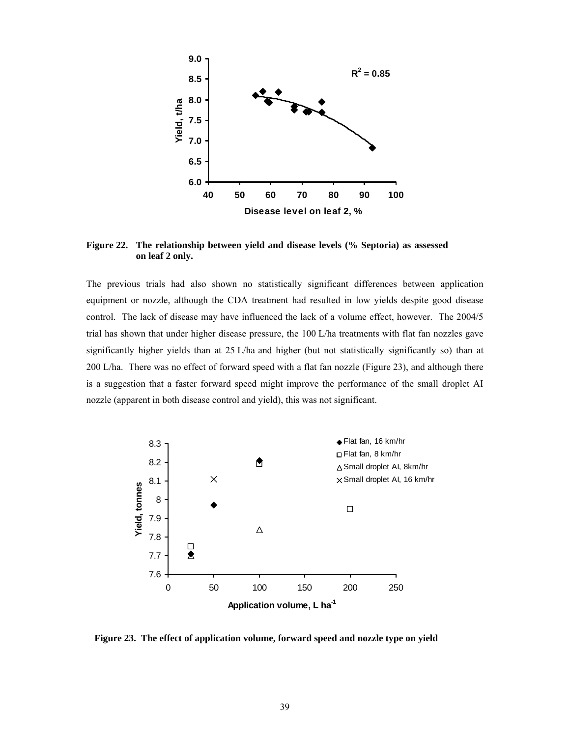

**Figure 22. The relationship between yield and disease levels (% Septoria) as assessed on leaf 2 only.** 

The previous trials had also shown no statistically significant differences between application equipment or nozzle, although the CDA treatment had resulted in low yields despite good disease control. The lack of disease may have influenced the lack of a volume effect, however. The 2004/5 trial has shown that under higher disease pressure, the 100 L/ha treatments with flat fan nozzles gave significantly higher yields than at 25 L/ha and higher (but not statistically significantly so) than at 200 L/ha. There was no effect of forward speed with a flat fan nozzle (Figure 23), and although there is a suggestion that a faster forward speed might improve the performance of the small droplet AI nozzle (apparent in both disease control and yield), this was not significant.



**Figure 23. The effect of application volume, forward speed and nozzle type on yield**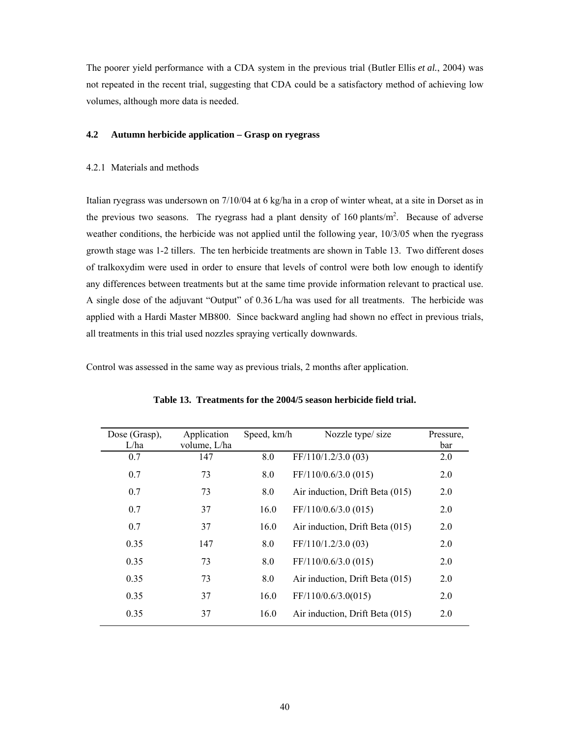The poorer yield performance with a CDA system in the previous trial (Butler Ellis *et al.*, 2004) was not repeated in the recent trial, suggesting that CDA could be a satisfactory method of achieving low volumes, although more data is needed.

# **4.2 Autumn herbicide application – Grasp on ryegrass**

### 4.2.1 Materials and methods

Italian ryegrass was undersown on 7/10/04 at 6 kg/ha in a crop of winter wheat, at a site in Dorset as in the previous two seasons. The ryegrass had a plant density of 160 plants/ $m<sup>2</sup>$ . Because of adverse weather conditions, the herbicide was not applied until the following year, 10/3/05 when the ryegrass growth stage was 1-2 tillers. The ten herbicide treatments are shown in Table 13. Two different doses of tralkoxydim were used in order to ensure that levels of control were both low enough to identify any differences between treatments but at the same time provide information relevant to practical use. A single dose of the adjuvant "Output" of 0.36 L/ha was used for all treatments. The herbicide was applied with a Hardi Master MB800. Since backward angling had shown no effect in previous trials, all treatments in this trial used nozzles spraying vertically downwards.

Control was assessed in the same way as previous trials, 2 months after application.

| Dose (Grasp),<br>L/ha | Application<br>volume, L/ha | Speed, km/h | Nozzle type/size                | Pressure,<br>bar |
|-----------------------|-----------------------------|-------------|---------------------------------|------------------|
| 0.7                   | 147                         | 8.0         | FF/110/1.2/3.0(03)              | 2.0              |
| 0.7                   | 73                          | 8.0         | FF/110/0.6/3.0(015)             | 2.0              |
| 0.7                   | 73                          | 8.0         | Air induction, Drift Beta (015) | 2.0              |
| 0.7                   | 37                          | 16.0        | FF/110/0.6/3.0(015)             | 2.0              |
| 0.7                   | 37                          | 16.0        | Air induction, Drift Beta (015) | 2.0              |
| 0.35                  | 147                         | 8.0         | FF/110/1.2/3.0(03)              | 2.0              |
| 0.35                  | 73                          | 8.0         | FF/110/0.6/3.0(015)             | 2.0              |
| 0.35                  | 73                          | 8.0         | Air induction, Drift Beta (015) | 2.0              |
| 0.35                  | 37                          | 16.0        | FF/110/0.6/3.0(015)             | 2.0              |
| 0.35                  | 37                          | 16.0        | Air induction, Drift Beta (015) | 2.0              |
|                       |                             |             |                                 |                  |

**Table 13. Treatments for the 2004/5 season herbicide field trial.**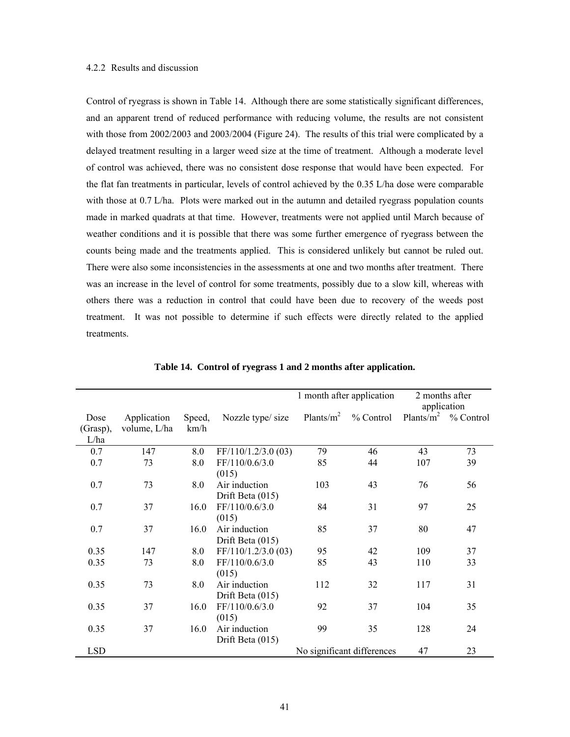# 4.2.2 Results and discussion

Control of ryegrass is shown in Table 14. Although there are some statistically significant differences, and an apparent trend of reduced performance with reducing volume, the results are not consistent with those from 2002/2003 and 2003/2004 (Figure 24). The results of this trial were complicated by a delayed treatment resulting in a larger weed size at the time of treatment. Although a moderate level of control was achieved, there was no consistent dose response that would have been expected. For the flat fan treatments in particular, levels of control achieved by the 0.35 L/ha dose were comparable with those at 0.7 L/ha. Plots were marked out in the autumn and detailed ryegrass population counts made in marked quadrats at that time. However, treatments were not applied until March because of weather conditions and it is possible that there was some further emergence of ryegrass between the counts being made and the treatments applied. This is considered unlikely but cannot be ruled out. There were also some inconsistencies in the assessments at one and two months after treatment. There was an increase in the level of control for some treatments, possibly due to a slow kill, whereas with others there was a reduction in control that could have been due to recovery of the weeds post treatment. It was not possible to determine if such effects were directly related to the applied treatments.

|                          |                             |                |                     | 1 month after application |                            | 2 months after<br>application |           |
|--------------------------|-----------------------------|----------------|---------------------|---------------------------|----------------------------|-------------------------------|-----------|
| Dose<br>(Grasp),<br>L/ha | Application<br>volume, L/ha | Speed,<br>km/h | Nozzle type/ size   | Plants/ $m^2$             | % Control                  | Plants/ $m^2$                 | % Control |
| 0.7                      | 147                         | 8.0            | FF/110/1.2/3.0 (03) | 79                        | 46                         | 43                            | 73        |
| 0.7                      | 73                          | 8.0            | FF/110/0.6/3.0      | 85                        | 44                         | 107                           | 39        |
|                          |                             |                | (015)               |                           |                            |                               |           |
| 0.7                      | 73                          | 8.0            | Air induction       | 103                       | 43                         | 76                            | 56        |
|                          |                             |                | Drift Beta (015)    |                           |                            |                               |           |
| 0.7                      | 37                          | 16.0           | FF/110/0.6/3.0      | 84                        | 31                         | 97                            | 25        |
|                          |                             |                | (015)               |                           |                            |                               |           |
| 0.7                      | 37                          | 16.0           | Air induction       | 85                        | 37                         | 80                            | 47        |
|                          |                             |                | Drift Beta $(015)$  |                           |                            |                               |           |
| 0.35                     | 147                         | 8.0            | FF/110/1.2/3.0 (03) | 95                        | 42                         | 109                           | 37        |
| 0.35                     | 73                          | 8.0            | FF/110/0.6/3.0      | 85                        | 43                         | 110                           | 33        |
|                          |                             |                | (015)               |                           |                            |                               |           |
| 0.35                     | 73                          | 8.0            | Air induction       | 112                       | 32                         | 117                           | 31        |
|                          |                             |                | Drift Beta (015)    |                           |                            |                               |           |
| 0.35                     | 37                          | 16.0           | FF/110/0.6/3.0      | 92                        | 37                         | 104                           | 35        |
|                          |                             |                | (015)               |                           |                            |                               |           |
| 0.35                     | 37                          | 16.0           | Air induction       | 99                        | 35                         | 128                           | 24        |
|                          |                             |                | Drift Beta (015)    |                           |                            |                               |           |
| <b>LSD</b>               |                             |                |                     |                           | No significant differences | 47                            | 23        |

**Table 14. Control of ryegrass 1 and 2 months after application.**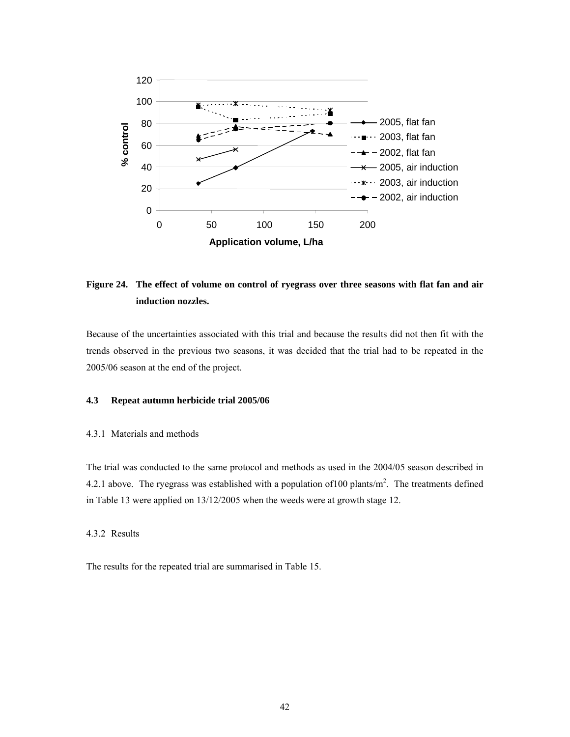

# **Figure 24. The effect of volume on control of ryegrass over three seasons with flat fan and air induction nozzles.**

Because of the uncertainties associated with this trial and because the results did not then fit with the trends observed in the previous two seasons, it was decided that the trial had to be repeated in the 2005/06 season at the end of the project.

#### **4.3 Repeat autumn herbicide trial 2005/06**

# 4.3.1 Materials and methods

The trial was conducted to the same protocol and methods as used in the 2004/05 season described in 4.2.1 above. The ryegrass was established with a population of 100 plants/ $m<sup>2</sup>$ . The treatments defined in Table 13 were applied on 13/12/2005 when the weeds were at growth stage 12.

#### 4.3.2 Results

The results for the repeated trial are summarised in Table 15.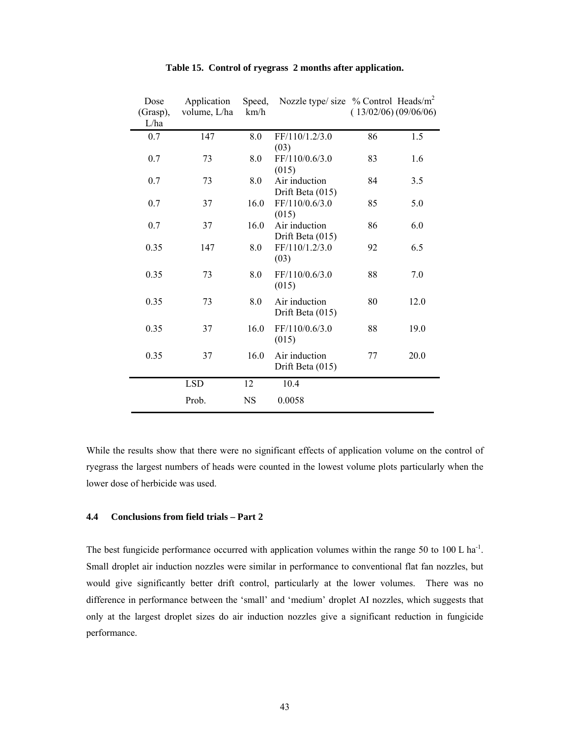| Dose<br>(Grasp),<br>L/ha | Application<br>volume, L/ha | Speed,<br>km/h | Nozzle type/ size % Control Heads/ $m^2$ | (13/02/06)(09/06/06) |      |
|--------------------------|-----------------------------|----------------|------------------------------------------|----------------------|------|
| 0.7                      | 147                         | 8.0            | FF/110/1.2/3.0<br>(03)                   | 86                   | 1.5  |
| 0.7                      | 73                          | 8.0            | FF/110/0.6/3.0<br>(015)                  | 83                   | 1.6  |
| 0.7                      | 73                          | 8.0            | Air induction<br>Drift Beta (015)        | 84                   | 3.5  |
| 0.7                      | 37                          | 16.0           | FF/110/0.6/3.0<br>(015)                  | 85                   | 5.0  |
| 0.7                      | 37                          | 16.0           | Air induction<br>Drift Beta (015)        | 86                   | 6.0  |
| 0.35                     | 147                         | 8.0            | FF/110/1.2/3.0<br>(03)                   | 92                   | 6.5  |
| 0.35                     | 73                          | 8.0            | FF/110/0.6/3.0<br>(015)                  | 88                   | 7.0  |
| 0.35                     | 73                          | 8.0            | Air induction<br>Drift Beta (015)        | 80                   | 12.0 |
| 0.35                     | 37                          | 16.0           | FF/110/0.6/3.0<br>(015)                  | 88                   | 19.0 |
| 0.35                     | 37                          | 16.0           | Air induction<br>Drift Beta (015)        | 77                   | 20.0 |
|                          | <b>LSD</b>                  | 12             | 10.4                                     |                      |      |
|                          | Prob.                       | <b>NS</b>      | 0.0058                                   |                      |      |

# **Table 15. Control of ryegrass 2 months after application.**

While the results show that there were no significant effects of application volume on the control of ryegrass the largest numbers of heads were counted in the lowest volume plots particularly when the lower dose of herbicide was used.

# **4.4 Conclusions from field trials – Part 2**

The best fungicide performance occurred with application volumes within the range 50 to 100 L ha<sup>-1</sup>. Small droplet air induction nozzles were similar in performance to conventional flat fan nozzles, but would give significantly better drift control, particularly at the lower volumes. There was no difference in performance between the 'small' and 'medium' droplet AI nozzles, which suggests that only at the largest droplet sizes do air induction nozzles give a significant reduction in fungicide performance.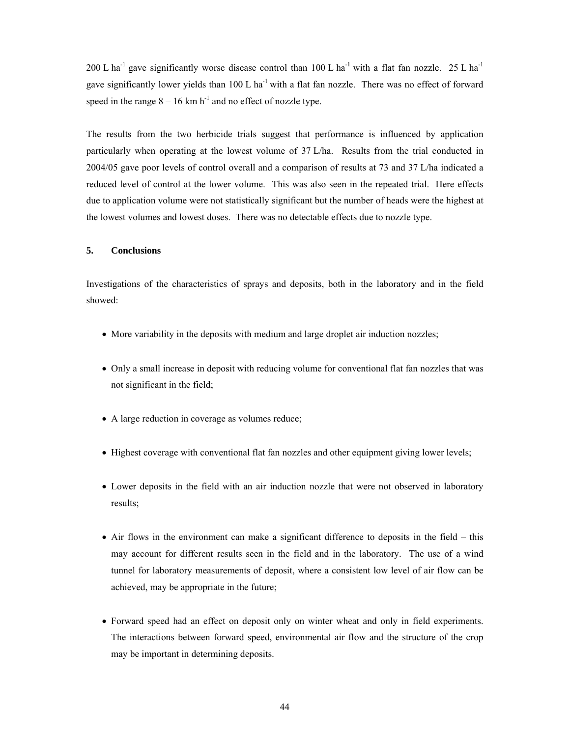200 L ha<sup>-1</sup> gave significantly worse disease control than 100 L ha<sup>-1</sup> with a flat fan nozzle. 25 L ha<sup>-1</sup> gave significantly lower yields than 100 L ha<sup>-1</sup> with a flat fan nozzle. There was no effect of forward speed in the range  $8 - 16$  km h<sup>-1</sup> and no effect of nozzle type.

The results from the two herbicide trials suggest that performance is influenced by application particularly when operating at the lowest volume of 37 L/ha. Results from the trial conducted in 2004/05 gave poor levels of control overall and a comparison of results at 73 and 37 L/ha indicated a reduced level of control at the lower volume. This was also seen in the repeated trial. Here effects due to application volume were not statistically significant but the number of heads were the highest at the lowest volumes and lowest doses. There was no detectable effects due to nozzle type.

# **5. Conclusions**

Investigations of the characteristics of sprays and deposits, both in the laboratory and in the field showed:

- More variability in the deposits with medium and large droplet air induction nozzles;
- Only a small increase in deposit with reducing volume for conventional flat fan nozzles that was not significant in the field;
- A large reduction in coverage as volumes reduce;
- Highest coverage with conventional flat fan nozzles and other equipment giving lower levels;
- Lower deposits in the field with an air induction nozzle that were not observed in laboratory results;
- Air flows in the environment can make a significant difference to deposits in the field this may account for different results seen in the field and in the laboratory. The use of a wind tunnel for laboratory measurements of deposit, where a consistent low level of air flow can be achieved, may be appropriate in the future;
- Forward speed had an effect on deposit only on winter wheat and only in field experiments. The interactions between forward speed, environmental air flow and the structure of the crop may be important in determining deposits.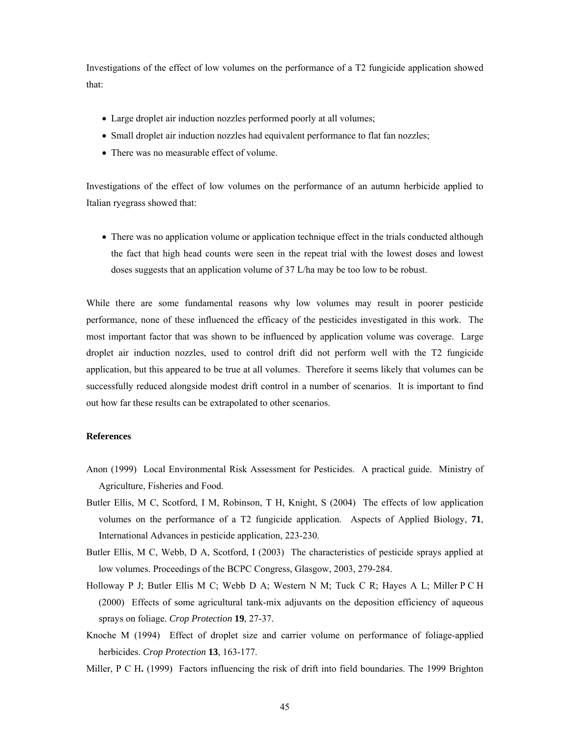Investigations of the effect of low volumes on the performance of a T2 fungicide application showed that:

- Large droplet air induction nozzles performed poorly at all volumes;
- Small droplet air induction nozzles had equivalent performance to flat fan nozzles;
- There was no measurable effect of volume.

Investigations of the effect of low volumes on the performance of an autumn herbicide applied to Italian ryegrass showed that:

• There was no application volume or application technique effect in the trials conducted although the fact that high head counts were seen in the repeat trial with the lowest doses and lowest doses suggests that an application volume of 37 L/ha may be too low to be robust.

While there are some fundamental reasons why low volumes may result in poorer pesticide performance, none of these influenced the efficacy of the pesticides investigated in this work. The most important factor that was shown to be influenced by application volume was coverage. Large droplet air induction nozzles, used to control drift did not perform well with the T2 fungicide application, but this appeared to be true at all volumes. Therefore it seems likely that volumes can be successfully reduced alongside modest drift control in a number of scenarios. It is important to find out how far these results can be extrapolated to other scenarios.

# **References**

- Anon (1999) Local Environmental Risk Assessment for Pesticides. A practical guide. Ministry of Agriculture, Fisheries and Food.
- Butler Ellis, M C, Scotford, I M, Robinson, T H, Knight, S (2004) The effects of low application volumes on the performance of a T2 fungicide application. Aspects of Applied Biology, **71**, International Advances in pesticide application, 223-230.
- Butler Ellis, M C, Webb, D A, Scotford, I (2003) The characteristics of pesticide sprays applied at low volumes. Proceedings of the BCPC Congress, Glasgow, 2003, 279-284.
- Holloway P J; Butler Ellis M C; Webb D A; Western N M; Tuck C R; Hayes A L; Miller P C H (2000) Effects of some agricultural tank-mix adjuvants on the deposition efficiency of aqueous sprays on foliage. *Crop Protection* **19**, 27-37.
- Knoche M (1994) Effect of droplet size and carrier volume on performance of foliage-applied herbicides. *Crop Protection* **13**, 163-177.
- Miller, P C H**.** (1999) Factors influencing the risk of drift into field boundaries. The 1999 Brighton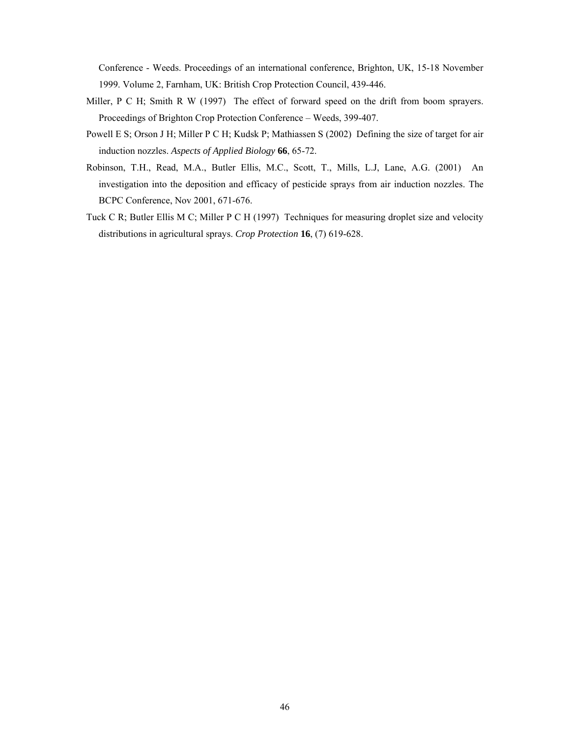Conference - Weeds. Proceedings of an international conference, Brighton, UK, 15-18 November 1999. Volume 2, Farnham, UK: British Crop Protection Council, 439-446.

- Miller, P C H; Smith R W (1997) The effect of forward speed on the drift from boom sprayers. Proceedings of Brighton Crop Protection Conference – Weeds, 399-407.
- Powell E S; Orson J H; Miller P C H; Kudsk P; Mathiassen S (2002) Defining the size of target for air induction nozzles. *Aspects of Applied Biology* **66**, 65-72.
- Robinson, T.H., Read, M.A., Butler Ellis, M.C., Scott, T., Mills, L.J, Lane, A.G. (2001) An investigation into the deposition and efficacy of pesticide sprays from air induction nozzles. The BCPC Conference, Nov 2001, 671-676.
- Tuck C R; Butler Ellis M C; Miller P C H (1997) Techniques for measuring droplet size and velocity distributions in agricultural sprays. *Crop Protection* **16**, (7) 619-628.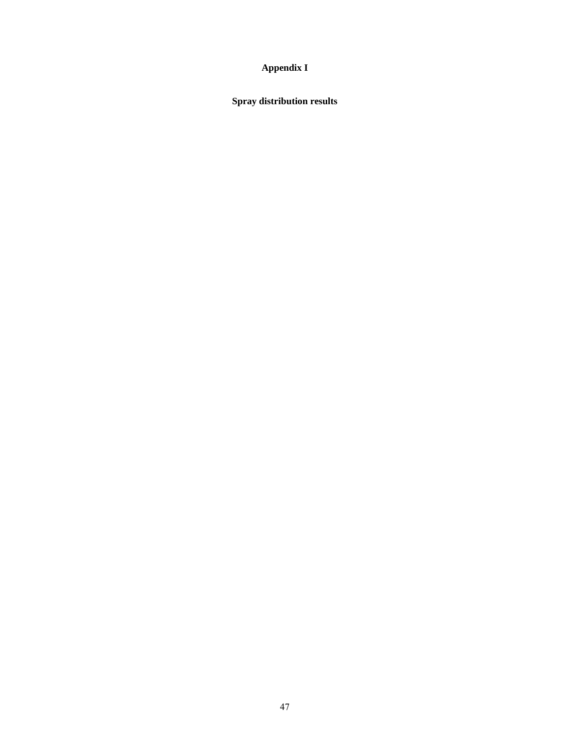# **Appendix I**

**Spray distribution results**